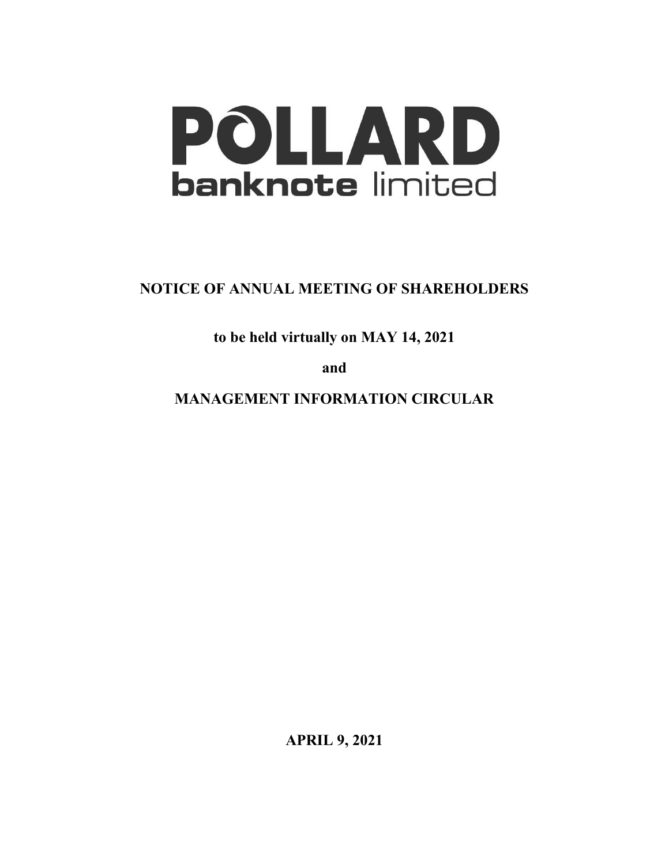

**NOTICE OF ANNUAL MEETING OF SHAREHOLDERS**

**to be held virtually on MAY 14, 2021**

**and**

**MANAGEMENT INFORMATION CIRCULAR**

**APRIL 9, 2021**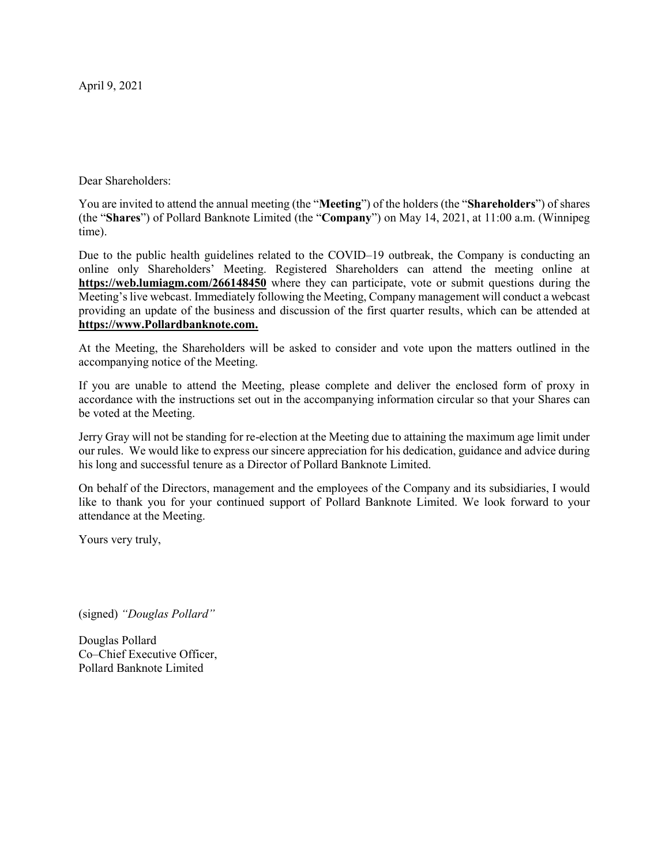April 9, 2021

Dear Shareholders:

You are invited to attend the annual meeting (the "**Meeting**") of the holders (the "**Shareholders**") of shares (the "**Shares**") of Pollard Banknote Limited (the "**Company**") on May 14, 2021, at 11:00 a.m. (Winnipeg time).

Due to the public health guidelines related to the COVID–19 outbreak, the Company is conducting an online only Shareholders' Meeting. Registered Shareholders can attend the meeting online at **https://web.lumiagm.com/266148450** where they can participate, vote or submit questions during the Meeting's live webcast. Immediately following the Meeting, Company management will conduct a webcast providing an update of the business and discussion of the first quarter results, which can be attended at **https://www.Pollardbanknote.com.**

At the Meeting, the Shareholders will be asked to consider and vote upon the matters outlined in the accompanying notice of the Meeting.

If you are unable to attend the Meeting, please complete and deliver the enclosed form of proxy in accordance with the instructions set out in the accompanying information circular so that your Shares can be voted at the Meeting.

Jerry Gray will not be standing for re-election at the Meeting due to attaining the maximum age limit under our rules. We would like to express our sincere appreciation for his dedication, guidance and advice during his long and successful tenure as a Director of Pollard Banknote Limited.

On behalf of the Directors, management and the employees of the Company and its subsidiaries, I would like to thank you for your continued support of Pollard Banknote Limited. We look forward to your attendance at the Meeting.

Yours very truly,

(signed) *"Douglas Pollard"*

Douglas Pollard Co–Chief Executive Officer, Pollard Banknote Limited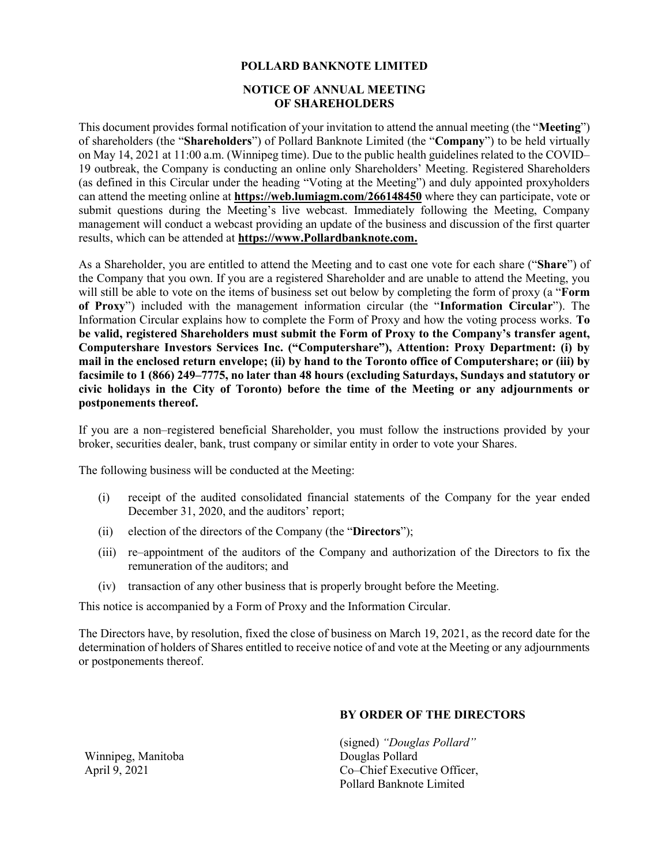### **POLLARD BANKNOTE LIMITED**

### **NOTICE OF ANNUAL MEETING OF SHAREHOLDERS**

This document provides formal notification of your invitation to attend the annual meeting (the "**Meeting**") of shareholders (the "**Shareholders**") of Pollard Banknote Limited (the "**Company**") to be held virtually on May 14, 2021 at 11:00 a.m. (Winnipeg time). Due to the public health guidelines related to the COVID– 19 outbreak, the Company is conducting an online only Shareholders' Meeting. Registered Shareholders (as defined in this Circular under the heading "Voting at the Meeting") and duly appointed proxyholders can attend the meeting online at **https://web.lumiagm.com/266148450** where they can participate, vote or submit questions during the Meeting's live webcast. Immediately following the Meeting, Company management will conduct a webcast providing an update of the business and discussion of the first quarter results, which can be attended at **https://www.Pollardbanknote.com.**

As a Shareholder, you are entitled to attend the Meeting and to cast one vote for each share ("**Share**") of the Company that you own. If you are a registered Shareholder and are unable to attend the Meeting, you will still be able to vote on the items of business set out below by completing the form of proxy (a "**Form of Proxy**") included with the management information circular (the "**Information Circular**"). The Information Circular explains how to complete the Form of Proxy and how the voting process works. **To be valid, registered Shareholders must submit the Form of Proxy to the Company's transfer agent, Computershare Investors Services Inc. ("Computershare"), Attention: Proxy Department: (i) by mail in the enclosed return envelope; (ii) by hand to the Toronto office of Computershare; or (iii) by facsimile to 1 (866) 249–7775, no later than 48 hours (excluding Saturdays, Sundays and statutory or civic holidays in the City of Toronto) before the time of the Meeting or any adjournments or postponements thereof.**

If you are a non–registered beneficial Shareholder, you must follow the instructions provided by your broker, securities dealer, bank, trust company or similar entity in order to vote your Shares.

The following business will be conducted at the Meeting:

- (i) receipt of the audited consolidated financial statements of the Company for the year ended December 31, 2020, and the auditors' report;
- (ii) election of the directors of the Company (the "**Directors**");
- (iii) re–appointment of the auditors of the Company and authorization of the Directors to fix the remuneration of the auditors; and
- (iv) transaction of any other business that is properly brought before the Meeting.

This notice is accompanied by a Form of Proxy and the Information Circular.

The Directors have, by resolution, fixed the close of business on March 19, 2021, as the record date for the determination of holders of Shares entitled to receive notice of and vote at the Meeting or any adjournments or postponements thereof.

### **BY ORDER OF THE DIRECTORS**

(signed) *"Douglas Pollard"* Douglas Pollard Co–Chief Executive Officer, Pollard Banknote Limited

Winnipeg, Manitoba April 9, 2021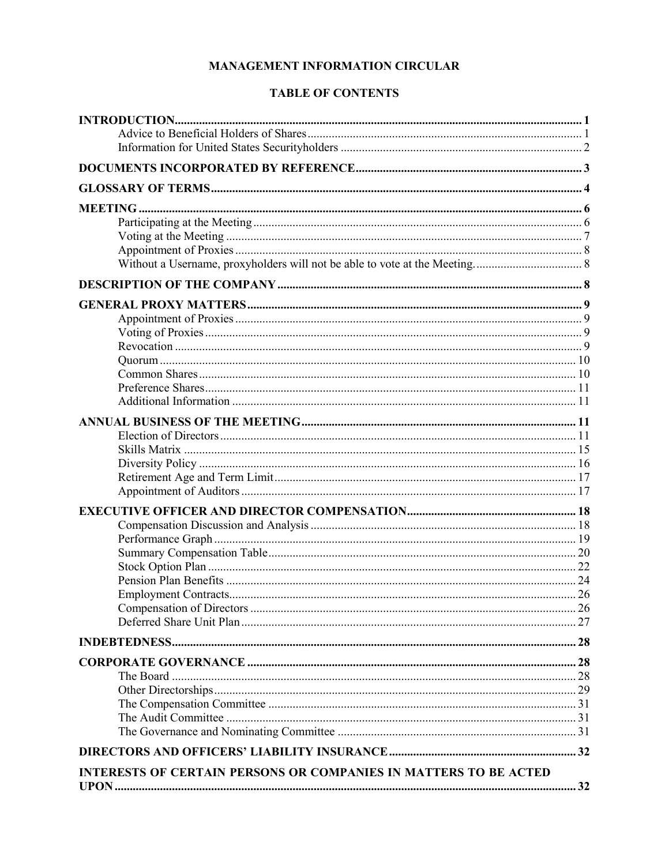# **MANAGEMENT INFORMATION CIRCULAR**

# **TABLE OF CONTENTS**

| INTERESTS OF CERTAIN PERSONS OR COMPANIES IN MATTERS TO BE ACTED |  |
|------------------------------------------------------------------|--|
|                                                                  |  |
|                                                                  |  |
|                                                                  |  |
|                                                                  |  |
|                                                                  |  |
|                                                                  |  |
|                                                                  |  |
|                                                                  |  |
|                                                                  |  |
|                                                                  |  |
|                                                                  |  |
|                                                                  |  |
|                                                                  |  |
|                                                                  |  |
|                                                                  |  |
|                                                                  |  |
|                                                                  |  |
|                                                                  |  |
|                                                                  |  |
|                                                                  |  |
|                                                                  |  |
|                                                                  |  |
|                                                                  |  |
|                                                                  |  |
|                                                                  |  |
|                                                                  |  |
|                                                                  |  |
|                                                                  |  |
|                                                                  |  |
|                                                                  |  |
|                                                                  |  |
|                                                                  |  |
|                                                                  |  |
|                                                                  |  |
|                                                                  |  |
|                                                                  |  |
|                                                                  |  |
|                                                                  |  |
|                                                                  |  |
|                                                                  |  |
|                                                                  |  |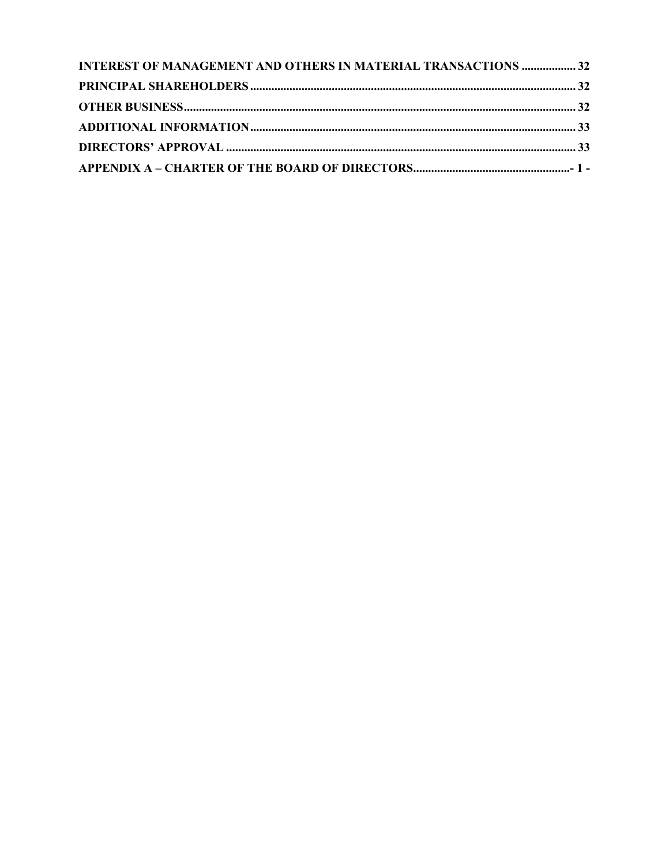| <b>INTEREST OF MANAGEMENT AND OTHERS IN MATERIAL TRANSACTIONS  32</b> |  |
|-----------------------------------------------------------------------|--|
|                                                                       |  |
|                                                                       |  |
|                                                                       |  |
|                                                                       |  |
|                                                                       |  |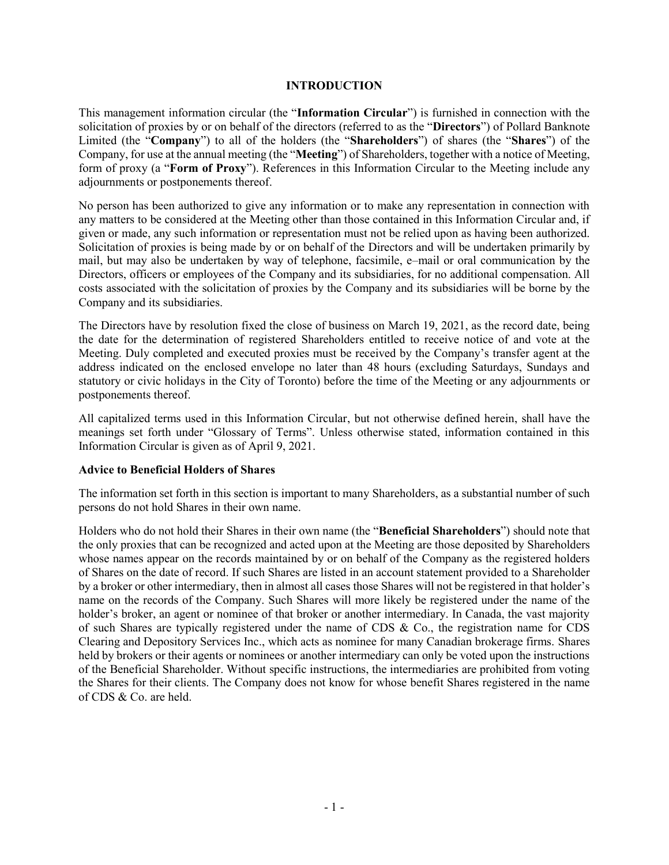#### **INTRODUCTION**

This management information circular (the "**Information Circular**") is furnished in connection with the solicitation of proxies by or on behalf of the directors (referred to as the "**Directors**") of Pollard Banknote Limited (the "**Company**") to all of the holders (the "**Shareholders**") of shares (the "**Shares**") of the Company, for use at the annual meeting (the "**Meeting**") of Shareholders, together with a notice of Meeting, form of proxy (a "**Form of Proxy**"). References in this Information Circular to the Meeting include any adjournments or postponements thereof.

No person has been authorized to give any information or to make any representation in connection with any matters to be considered at the Meeting other than those contained in this Information Circular and, if given or made, any such information or representation must not be relied upon as having been authorized. Solicitation of proxies is being made by or on behalf of the Directors and will be undertaken primarily by mail, but may also be undertaken by way of telephone, facsimile, e–mail or oral communication by the Directors, officers or employees of the Company and its subsidiaries, for no additional compensation. All costs associated with the solicitation of proxies by the Company and its subsidiaries will be borne by the Company and its subsidiaries.

The Directors have by resolution fixed the close of business on March 19, 2021, as the record date, being the date for the determination of registered Shareholders entitled to receive notice of and vote at the Meeting. Duly completed and executed proxies must be received by the Company's transfer agent at the address indicated on the enclosed envelope no later than 48 hours (excluding Saturdays, Sundays and statutory or civic holidays in the City of Toronto) before the time of the Meeting or any adjournments or postponements thereof.

All capitalized terms used in this Information Circular, but not otherwise defined herein, shall have the meanings set forth under "Glossary of Terms". Unless otherwise stated, information contained in this Information Circular is given as of April 9, 2021.

### **Advice to Beneficial Holders of Shares**

The information set forth in this section is important to many Shareholders, as a substantial number of such persons do not hold Shares in their own name.

Holders who do not hold their Shares in their own name (the "**Beneficial Shareholders**") should note that the only proxies that can be recognized and acted upon at the Meeting are those deposited by Shareholders whose names appear on the records maintained by or on behalf of the Company as the registered holders of Shares on the date of record. If such Shares are listed in an account statement provided to a Shareholder by a broker or other intermediary, then in almost all cases those Shares will not be registered in that holder's name on the records of the Company. Such Shares will more likely be registered under the name of the holder's broker, an agent or nominee of that broker or another intermediary. In Canada, the vast majority of such Shares are typically registered under the name of CDS & Co., the registration name for CDS Clearing and Depository Services Inc., which acts as nominee for many Canadian brokerage firms. Shares held by brokers or their agents or nominees or another intermediary can only be voted upon the instructions of the Beneficial Shareholder. Without specific instructions, the intermediaries are prohibited from voting the Shares for their clients. The Company does not know for whose benefit Shares registered in the name of CDS & Co. are held.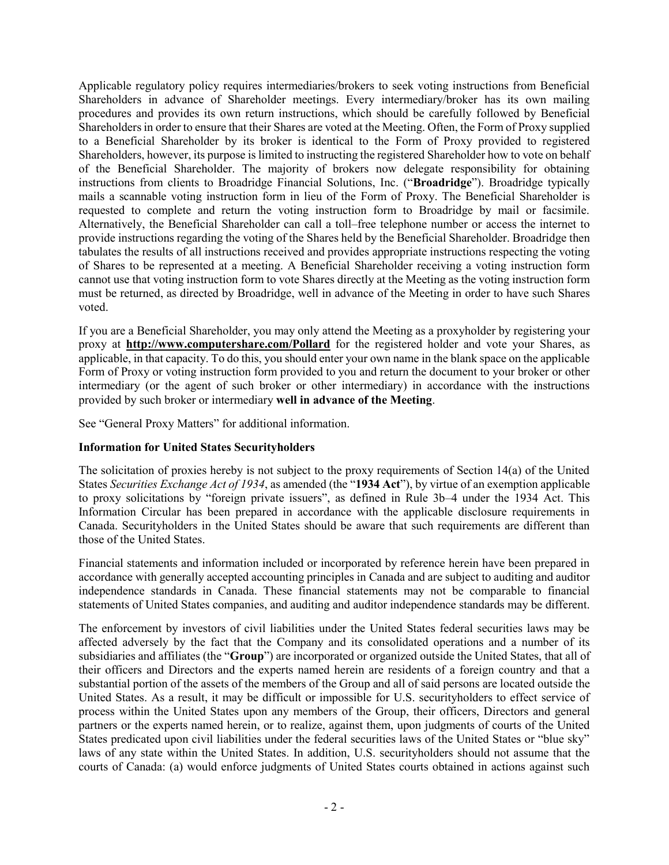Applicable regulatory policy requires intermediaries/brokers to seek voting instructions from Beneficial Shareholders in advance of Shareholder meetings. Every intermediary/broker has its own mailing procedures and provides its own return instructions, which should be carefully followed by Beneficial Shareholders in order to ensure that their Shares are voted at the Meeting. Often, the Form of Proxy supplied to a Beneficial Shareholder by its broker is identical to the Form of Proxy provided to registered Shareholders, however, its purpose is limited to instructing the registered Shareholder how to vote on behalf of the Beneficial Shareholder. The majority of brokers now delegate responsibility for obtaining instructions from clients to Broadridge Financial Solutions, Inc. ("**Broadridge**"). Broadridge typically mails a scannable voting instruction form in lieu of the Form of Proxy. The Beneficial Shareholder is requested to complete and return the voting instruction form to Broadridge by mail or facsimile. Alternatively, the Beneficial Shareholder can call a toll–free telephone number or access the internet to provide instructions regarding the voting of the Shares held by the Beneficial Shareholder. Broadridge then tabulates the results of all instructions received and provides appropriate instructions respecting the voting of Shares to be represented at a meeting. A Beneficial Shareholder receiving a voting instruction form cannot use that voting instruction form to vote Shares directly at the Meeting as the voting instruction form must be returned, as directed by Broadridge, well in advance of the Meeting in order to have such Shares voted.

If you are a Beneficial Shareholder, you may only attend the Meeting as a proxyholder by registering your proxy at **http://www.computershare.com/Pollard** for the registered holder and vote your Shares, as applicable, in that capacity. To do this, you should enter your own name in the blank space on the applicable Form of Proxy or voting instruction form provided to you and return the document to your broker or other intermediary (or the agent of such broker or other intermediary) in accordance with the instructions provided by such broker or intermediary **well in advance of the Meeting**.

See "General Proxy Matters" for additional information.

# **Information for United States Securityholders**

The solicitation of proxies hereby is not subject to the proxy requirements of Section 14(a) of the United States *Securities Exchange Act of 1934*, as amended (the "**1934 Act**"), by virtue of an exemption applicable to proxy solicitations by "foreign private issuers", as defined in Rule 3b–4 under the 1934 Act. This Information Circular has been prepared in accordance with the applicable disclosure requirements in Canada. Securityholders in the United States should be aware that such requirements are different than those of the United States.

Financial statements and information included or incorporated by reference herein have been prepared in accordance with generally accepted accounting principles in Canada and are subject to auditing and auditor independence standards in Canada. These financial statements may not be comparable to financial statements of United States companies, and auditing and auditor independence standards may be different.

The enforcement by investors of civil liabilities under the United States federal securities laws may be affected adversely by the fact that the Company and its consolidated operations and a number of its subsidiaries and affiliates (the "**Group**") are incorporated or organized outside the United States, that all of their officers and Directors and the experts named herein are residents of a foreign country and that a substantial portion of the assets of the members of the Group and all of said persons are located outside the United States. As a result, it may be difficult or impossible for U.S. securityholders to effect service of process within the United States upon any members of the Group, their officers, Directors and general partners or the experts named herein, or to realize, against them, upon judgments of courts of the United States predicated upon civil liabilities under the federal securities laws of the United States or "blue sky" laws of any state within the United States. In addition, U.S. securityholders should not assume that the courts of Canada: (a) would enforce judgments of United States courts obtained in actions against such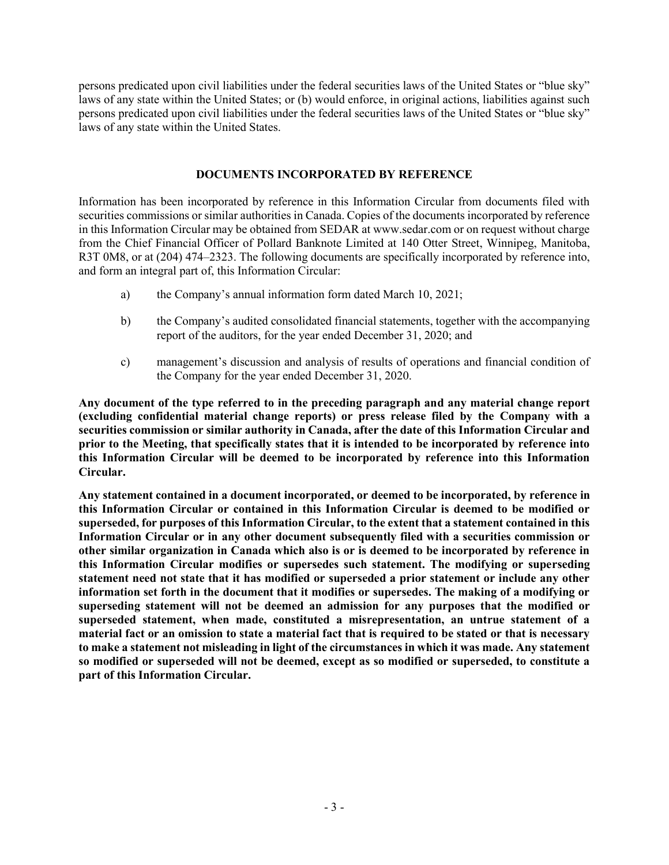persons predicated upon civil liabilities under the federal securities laws of the United States or "blue sky" laws of any state within the United States; or (b) would enforce, in original actions, liabilities against such persons predicated upon civil liabilities under the federal securities laws of the United States or "blue sky" laws of any state within the United States.

### **DOCUMENTS INCORPORATED BY REFERENCE**

Information has been incorporated by reference in this Information Circular from documents filed with securities commissions or similar authorities in Canada. Copies of the documents incorporated by reference in this Information Circular may be obtained from SEDAR at www.sedar.com or on request without charge from the Chief Financial Officer of Pollard Banknote Limited at 140 Otter Street, Winnipeg, Manitoba, R3T 0M8, or at (204) 474–2323. The following documents are specifically incorporated by reference into, and form an integral part of, this Information Circular:

- a) the Company's annual information form dated March 10, 2021;
- b) the Company's audited consolidated financial statements, together with the accompanying report of the auditors, for the year ended December 31, 2020; and
- c) management's discussion and analysis of results of operations and financial condition of the Company for the year ended December 31, 2020.

**Any document of the type referred to in the preceding paragraph and any material change report (excluding confidential material change reports) or press release filed by the Company with a securities commission or similar authority in Canada, after the date of this Information Circular and prior to the Meeting, that specifically states that it is intended to be incorporated by reference into this Information Circular will be deemed to be incorporated by reference into this Information Circular.**

**Any statement contained in a document incorporated, or deemed to be incorporated, by reference in this Information Circular or contained in this Information Circular is deemed to be modified or superseded, for purposes of this Information Circular, to the extent that a statement contained in this Information Circular or in any other document subsequently filed with a securities commission or other similar organization in Canada which also is or is deemed to be incorporated by reference in this Information Circular modifies or supersedes such statement. The modifying or superseding statement need not state that it has modified or superseded a prior statement or include any other information set forth in the document that it modifies or supersedes. The making of a modifying or superseding statement will not be deemed an admission for any purposes that the modified or superseded statement, when made, constituted a misrepresentation, an untrue statement of a material fact or an omission to state a material fact that is required to be stated or that is necessary to make a statement not misleading in light of the circumstances in which it was made. Any statement so modified or superseded will not be deemed, except as so modified or superseded, to constitute a part of this Information Circular.**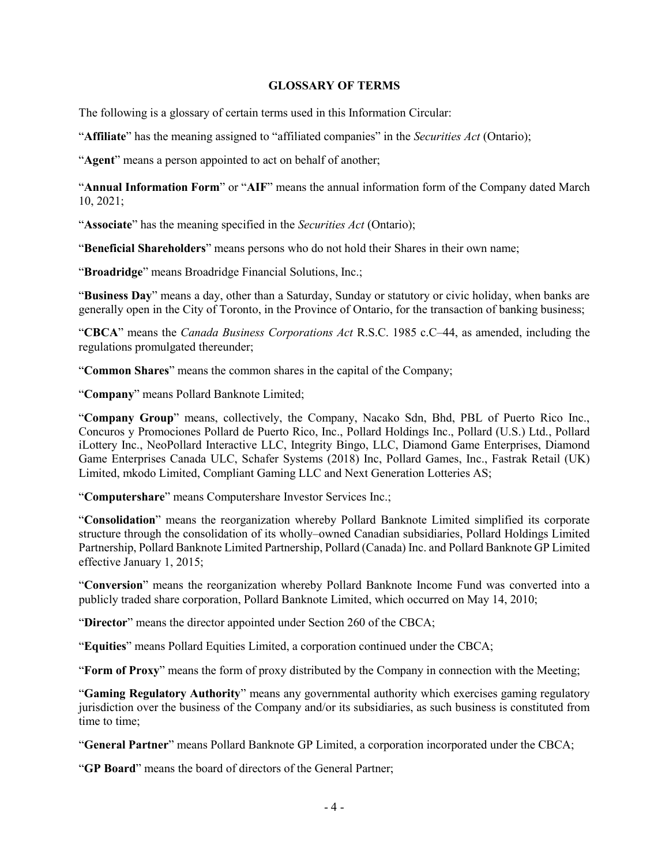#### **GLOSSARY OF TERMS**

The following is a glossary of certain terms used in this Information Circular:

"**Affiliate**" has the meaning assigned to "affiliated companies" in the *Securities Act* (Ontario);

"**Agent**" means a person appointed to act on behalf of another;

"**Annual Information Form**" or "**AIF**" means the annual information form of the Company dated March 10, 2021;

"**Associate**" has the meaning specified in the *Securities Act* (Ontario);

"**Beneficial Shareholders**" means persons who do not hold their Shares in their own name;

"**Broadridge**" means Broadridge Financial Solutions, Inc.;

"**Business Day**" means a day, other than a Saturday, Sunday or statutory or civic holiday, when banks are generally open in the City of Toronto, in the Province of Ontario, for the transaction of banking business;

"**CBCA**" means the *Canada Business Corporations Act* R.S.C. 1985 c.C–44, as amended, including the regulations promulgated thereunder;

"**Common Shares**" means the common shares in the capital of the Company;

"**Company**" means Pollard Banknote Limited;

"**Company Group**" means, collectively, the Company, Nacako Sdn, Bhd, PBL of Puerto Rico Inc., Concuros y Promociones Pollard de Puerto Rico, Inc., Pollard Holdings Inc., Pollard (U.S.) Ltd., Pollard iLottery Inc., NeoPollard Interactive LLC, Integrity Bingo, LLC, Diamond Game Enterprises, Diamond Game Enterprises Canada ULC, Schafer Systems (2018) Inc, Pollard Games, Inc., Fastrak Retail (UK) Limited, mkodo Limited, Compliant Gaming LLC and Next Generation Lotteries AS;

"**Computershare**" means Computershare Investor Services Inc.;

"**Consolidation**" means the reorganization whereby Pollard Banknote Limited simplified its corporate structure through the consolidation of its wholly–owned Canadian subsidiaries, Pollard Holdings Limited Partnership, Pollard Banknote Limited Partnership, Pollard (Canada) Inc. and Pollard Banknote GP Limited effective January 1, 2015;

"**Conversion**" means the reorganization whereby Pollard Banknote Income Fund was converted into a publicly traded share corporation, Pollard Banknote Limited, which occurred on May 14, 2010;

"**Director**" means the director appointed under Section 260 of the CBCA;

"**Equities**" means Pollard Equities Limited, a corporation continued under the CBCA;

"**Form of Proxy**" means the form of proxy distributed by the Company in connection with the Meeting;

"**Gaming Regulatory Authority**" means any governmental authority which exercises gaming regulatory jurisdiction over the business of the Company and/or its subsidiaries, as such business is constituted from time to time;

"**General Partner**" means Pollard Banknote GP Limited, a corporation incorporated under the CBCA;

"**GP Board**" means the board of directors of the General Partner;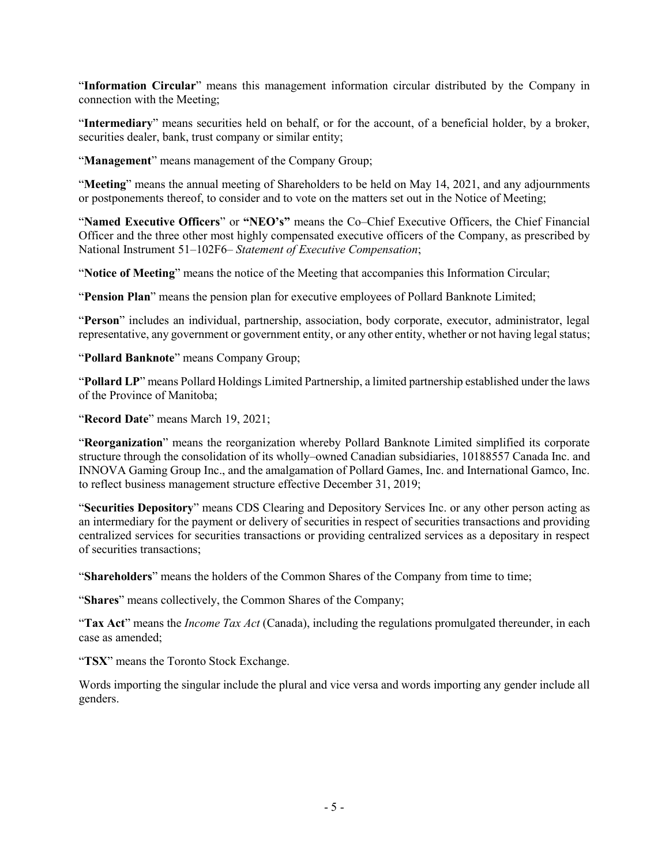"**Information Circular**" means this management information circular distributed by the Company in connection with the Meeting;

"**Intermediary**" means securities held on behalf, or for the account, of a beneficial holder, by a broker, securities dealer, bank, trust company or similar entity;

"**Management**" means management of the Company Group;

"**Meeting**" means the annual meeting of Shareholders to be held on May 14, 2021, and any adjournments or postponements thereof, to consider and to vote on the matters set out in the Notice of Meeting;

"**Named Executive Officers**" or **"NEO's"** means the Co–Chief Executive Officers, the Chief Financial Officer and the three other most highly compensated executive officers of the Company, as prescribed by National Instrument 51–102F6– *Statement of Executive Compensation*;

"**Notice of Meeting**" means the notice of the Meeting that accompanies this Information Circular;

"**Pension Plan**" means the pension plan for executive employees of Pollard Banknote Limited;

"**Person**" includes an individual, partnership, association, body corporate, executor, administrator, legal representative, any government or government entity, or any other entity, whether or not having legal status;

"**Pollard Banknote**" means Company Group;

"**Pollard LP**" means Pollard Holdings Limited Partnership, a limited partnership established under the laws of the Province of Manitoba;

"**Record Date**" means March 19, 2021;

"**Reorganization**" means the reorganization whereby Pollard Banknote Limited simplified its corporate structure through the consolidation of its wholly–owned Canadian subsidiaries, 10188557 Canada Inc. and INNOVA Gaming Group Inc., and the amalgamation of Pollard Games, Inc. and International Gamco, Inc. to reflect business management structure effective December 31, 2019;

"**Securities Depository**" means CDS Clearing and Depository Services Inc. or any other person acting as an intermediary for the payment or delivery of securities in respect of securities transactions and providing centralized services for securities transactions or providing centralized services as a depositary in respect of securities transactions;

"**Shareholders**" means the holders of the Common Shares of the Company from time to time;

"**Shares**" means collectively, the Common Shares of the Company;

"**Tax Act**" means the *Income Tax Act* (Canada), including the regulations promulgated thereunder, in each case as amended;

"**TSX**" means the Toronto Stock Exchange.

Words importing the singular include the plural and vice versa and words importing any gender include all genders.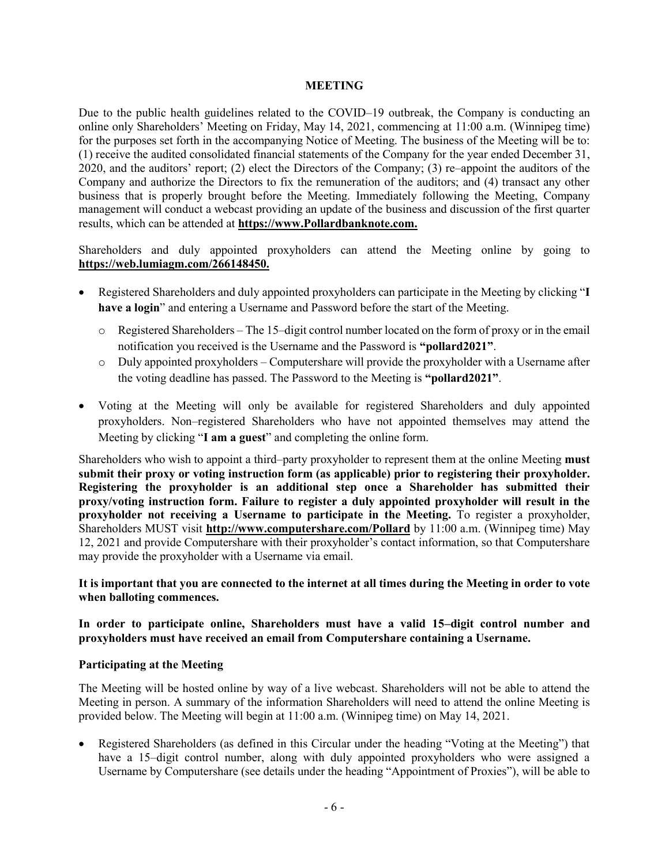#### **MEETING**

Due to the public health guidelines related to the COVID–19 outbreak, the Company is conducting an online only Shareholders' Meeting on Friday, May 14, 2021, commencing at 11:00 a.m. (Winnipeg time) for the purposes set forth in the accompanying Notice of Meeting. The business of the Meeting will be to: (1) receive the audited consolidated financial statements of the Company for the year ended December 31, 2020, and the auditors' report; (2) elect the Directors of the Company; (3) re–appoint the auditors of the Company and authorize the Directors to fix the remuneration of the auditors; and (4) transact any other business that is properly brought before the Meeting. Immediately following the Meeting, Company management will conduct a webcast providing an update of the business and discussion of the first quarter results, which can be attended at **https://www.Pollardbanknote.com.**

Shareholders and duly appointed proxyholders can attend the Meeting online by going to **https://web.lumiagm.com/266148450.**

- Registered Shareholders and duly appointed proxyholders can participate in the Meeting by clicking "**I have a login**" and entering a Username and Password before the start of the Meeting.
	- o Registered Shareholders The 15–digit control number located on the form of proxy or in the email notification you received is the Username and the Password is **"pollard2021"**.
	- o Duly appointed proxyholders Computershare will provide the proxyholder with a Username after the voting deadline has passed. The Password to the Meeting is **"pollard2021"**.
- Voting at the Meeting will only be available for registered Shareholders and duly appointed proxyholders. Non–registered Shareholders who have not appointed themselves may attend the Meeting by clicking "**I am a guest**" and completing the online form.

Shareholders who wish to appoint a third–party proxyholder to represent them at the online Meeting **must submit their proxy or voting instruction form (as applicable) prior to registering their proxyholder. Registering the proxyholder is an additional step once a Shareholder has submitted their proxy/voting instruction form. Failure to register a duly appointed proxyholder will result in the proxyholder not receiving a Username to participate in the Meeting.** To register a proxyholder, Shareholders MUST visit **http://www.computershare.com/Pollard** by 11:00 a.m. (Winnipeg time) May 12, 2021 and provide Computershare with their proxyholder's contact information, so that Computershare may provide the proxyholder with a Username via email.

**It is important that you are connected to the internet at all times during the Meeting in order to vote when balloting commences.**

**In order to participate online, Shareholders must have a valid 15–digit control number and proxyholders must have received an email from Computershare containing a Username.**

### **Participating at the Meeting**

The Meeting will be hosted online by way of a live webcast. Shareholders will not be able to attend the Meeting in person. A summary of the information Shareholders will need to attend the online Meeting is provided below. The Meeting will begin at 11:00 a.m. (Winnipeg time) on May 14, 2021.

• Registered Shareholders (as defined in this Circular under the heading "Voting at the Meeting") that have a 15–digit control number, along with duly appointed proxyholders who were assigned a Username by Computershare (see details under the heading "Appointment of Proxies"), will be able to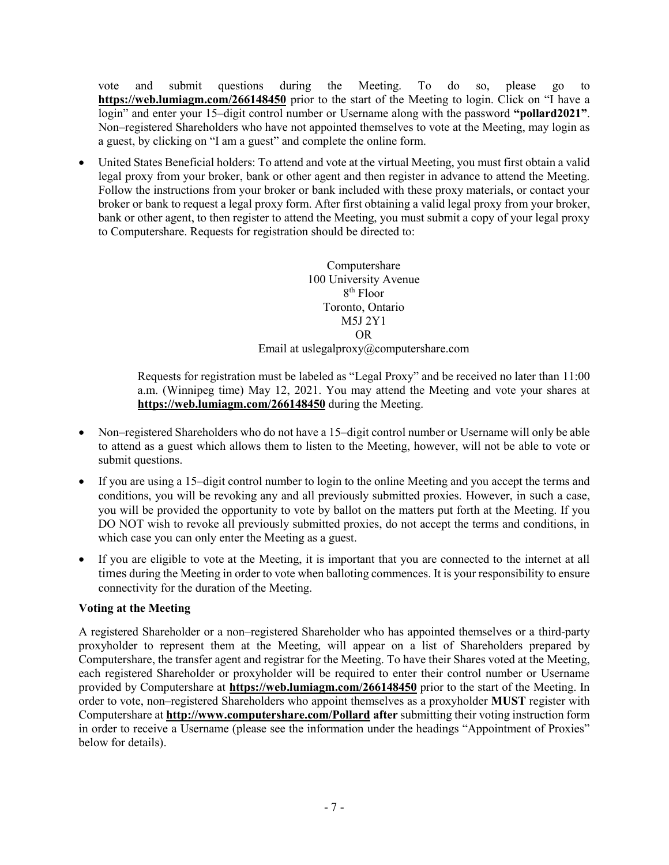vote and submit questions during the Meeting. To do so, please go to **https://web.lumiagm.com/266148450** prior to the start of the Meeting to login. Click on "I have a login" and enter your 15–digit control number or Username along with the password **"pollard2021"**. Non–registered Shareholders who have not appointed themselves to vote at the Meeting, may login as a guest, by clicking on "I am a guest" and complete the online form.

• United States Beneficial holders: To attend and vote at the virtual Meeting, you must first obtain a valid legal proxy from your broker, bank or other agent and then register in advance to attend the Meeting. Follow the instructions from your broker or bank included with these proxy materials, or contact your broker or bank to request a legal proxy form. After first obtaining a valid legal proxy from your broker, bank or other agent, to then register to attend the Meeting, you must submit a copy of your legal proxy to Computershare. Requests for registration should be directed to:

> Computershare 100 University Avenue 8th Floor Toronto, Ontario M5J 2Y1 OR Email at uslegalproxy@computershare.com

Requests for registration must be labeled as "Legal Proxy" and be received no later than 11:00 a.m. (Winnipeg time) May 12, 2021. You may attend the Meeting and vote your shares at **https://web.lumiagm.com/266148450** during the Meeting.

- Non–registered Shareholders who do not have a 15–digit control number or Username will only be able to attend as a guest which allows them to listen to the Meeting, however, will not be able to vote or submit questions.
- If you are using a 15–digit control number to login to the online Meeting and you accept the terms and conditions, you will be revoking any and all previously submitted proxies. However, in such a case, you will be provided the opportunity to vote by ballot on the matters put forth at the Meeting. If you DO NOT wish to revoke all previously submitted proxies, do not accept the terms and conditions, in which case you can only enter the Meeting as a guest.
- If you are eligible to vote at the Meeting, it is important that you are connected to the internet at all times during the Meeting in order to vote when balloting commences. It is your responsibility to ensure connectivity for the duration of the Meeting.

# **Voting at the Meeting**

A registered Shareholder or a non–registered Shareholder who has appointed themselves or a third-party proxyholder to represent them at the Meeting, will appear on a list of Shareholders prepared by Computershare, the transfer agent and registrar for the Meeting. To have their Shares voted at the Meeting, each registered Shareholder or proxyholder will be required to enter their control number or Username provided by Computershare at **https://web.lumiagm.com/266148450** prior to the start of the Meeting. In order to vote, non–registered Shareholders who appoint themselves as a proxyholder **MUST** register with Computershare at **http://www.computershare.com/Pollard after** submitting their voting instruction form in order to receive a Username (please see the information under the headings "Appointment of Proxies" below for details).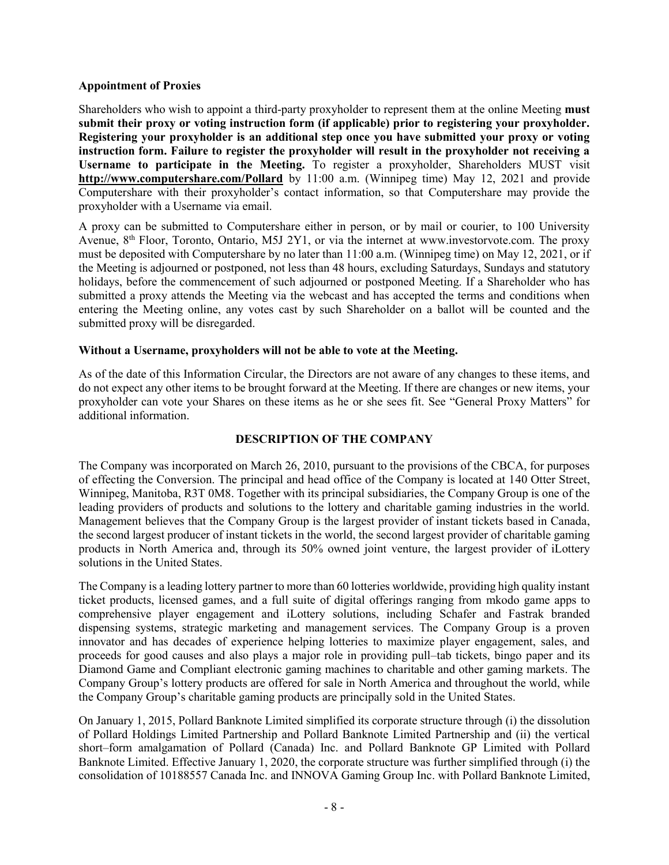### **Appointment of Proxies**

Shareholders who wish to appoint a third-party proxyholder to represent them at the online Meeting **must submit their proxy or voting instruction form (if applicable) prior to registering your proxyholder. Registering your proxyholder is an additional step once you have submitted your proxy or voting instruction form. Failure to register the proxyholder will result in the proxyholder not receiving a Username to participate in the Meeting.** To register a proxyholder, Shareholders MUST visit **http://www.computershare.com/Pollard** by 11:00 a.m. (Winnipeg time) May 12, 2021 and provide Computershare with their proxyholder's contact information, so that Computershare may provide the proxyholder with a Username via email.

A proxy can be submitted to Computershare either in person, or by mail or courier, to 100 University Avenue, 8<sup>th</sup> Floor, Toronto, Ontario, M5J 2Y1, or via the internet at www.investorvote.com. The proxy must be deposited with Computershare by no later than 11:00 a.m. (Winnipeg time) on May 12, 2021, or if the Meeting is adjourned or postponed, not less than 48 hours, excluding Saturdays, Sundays and statutory holidays, before the commencement of such adjourned or postponed Meeting. If a Shareholder who has submitted a proxy attends the Meeting via the webcast and has accepted the terms and conditions when entering the Meeting online, any votes cast by such Shareholder on a ballot will be counted and the submitted proxy will be disregarded.

# **Without a Username, proxyholders will not be able to vote at the Meeting.**

As of the date of this Information Circular, the Directors are not aware of any changes to these items, and do not expect any other items to be brought forward at the Meeting. If there are changes or new items, your proxyholder can vote your Shares on these items as he or she sees fit. See "General Proxy Matters" for additional information.

### **DESCRIPTION OF THE COMPANY**

The Company was incorporated on March 26, 2010, pursuant to the provisions of the CBCA, for purposes of effecting the Conversion. The principal and head office of the Company is located at 140 Otter Street, Winnipeg, Manitoba, R3T 0M8. Together with its principal subsidiaries, the Company Group is one of the leading providers of products and solutions to the lottery and charitable gaming industries in the world. Management believes that the Company Group is the largest provider of instant tickets based in Canada, the second largest producer of instant tickets in the world, the second largest provider of charitable gaming products in North America and, through its 50% owned joint venture, the largest provider of iLottery solutions in the United States.

The Company is a leading lottery partner to more than 60 lotteries worldwide, providing high quality instant ticket products, licensed games, and a full suite of digital offerings ranging from mkodo game apps to comprehensive player engagement and iLottery solutions, including Schafer and Fastrak branded dispensing systems, strategic marketing and management services. The Company Group is a proven innovator and has decades of experience helping lotteries to maximize player engagement, sales, and proceeds for good causes and also plays a major role in providing pull–tab tickets, bingo paper and its Diamond Game and Compliant electronic gaming machines to charitable and other gaming markets. The Company Group's lottery products are offered for sale in North America and throughout the world, while the Company Group's charitable gaming products are principally sold in the United States.

On January 1, 2015, Pollard Banknote Limited simplified its corporate structure through (i) the dissolution of Pollard Holdings Limited Partnership and Pollard Banknote Limited Partnership and (ii) the vertical short–form amalgamation of Pollard (Canada) Inc. and Pollard Banknote GP Limited with Pollard Banknote Limited. Effective January 1, 2020, the corporate structure was further simplified through (i) the consolidation of 10188557 Canada Inc. and INNOVA Gaming Group Inc. with Pollard Banknote Limited,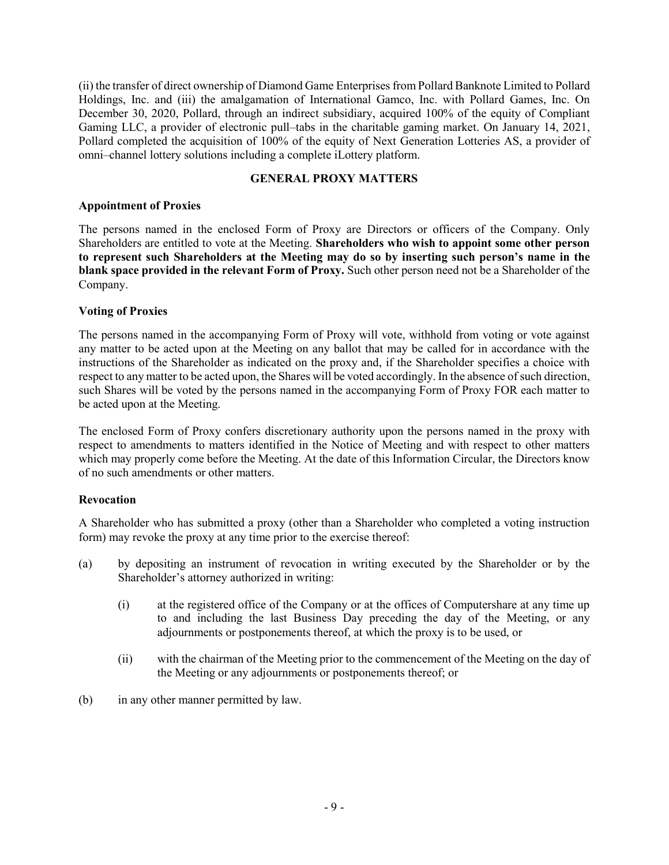(ii) the transfer of direct ownership of Diamond Game Enterprises from Pollard Banknote Limited to Pollard Holdings, Inc. and (iii) the amalgamation of International Gamco, Inc. with Pollard Games, Inc. On December 30, 2020, Pollard, through an indirect subsidiary, acquired 100% of the equity of Compliant Gaming LLC, a provider of electronic pull–tabs in the charitable gaming market. On January 14, 2021, Pollard completed the acquisition of 100% of the equity of Next Generation Lotteries AS, a provider of omni–channel lottery solutions including a complete iLottery platform.

### **GENERAL PROXY MATTERS**

### **Appointment of Proxies**

The persons named in the enclosed Form of Proxy are Directors or officers of the Company. Only Shareholders are entitled to vote at the Meeting. **Shareholders who wish to appoint some other person to represent such Shareholders at the Meeting may do so by inserting such person's name in the blank space provided in the relevant Form of Proxy.** Such other person need not be a Shareholder of the Company.

### **Voting of Proxies**

The persons named in the accompanying Form of Proxy will vote, withhold from voting or vote against any matter to be acted upon at the Meeting on any ballot that may be called for in accordance with the instructions of the Shareholder as indicated on the proxy and, if the Shareholder specifies a choice with respect to any matter to be acted upon, the Shares will be voted accordingly. In the absence of such direction, such Shares will be voted by the persons named in the accompanying Form of Proxy FOR each matter to be acted upon at the Meeting.

The enclosed Form of Proxy confers discretionary authority upon the persons named in the proxy with respect to amendments to matters identified in the Notice of Meeting and with respect to other matters which may properly come before the Meeting. At the date of this Information Circular, the Directors know of no such amendments or other matters.

### **Revocation**

A Shareholder who has submitted a proxy (other than a Shareholder who completed a voting instruction form) may revoke the proxy at any time prior to the exercise thereof:

- (a) by depositing an instrument of revocation in writing executed by the Shareholder or by the Shareholder's attorney authorized in writing:
	- (i) at the registered office of the Company or at the offices of Computershare at any time up to and including the last Business Day preceding the day of the Meeting, or any adjournments or postponements thereof, at which the proxy is to be used, or
	- (ii) with the chairman of the Meeting prior to the commencement of the Meeting on the day of the Meeting or any adjournments or postponements thereof; or
- (b) in any other manner permitted by law.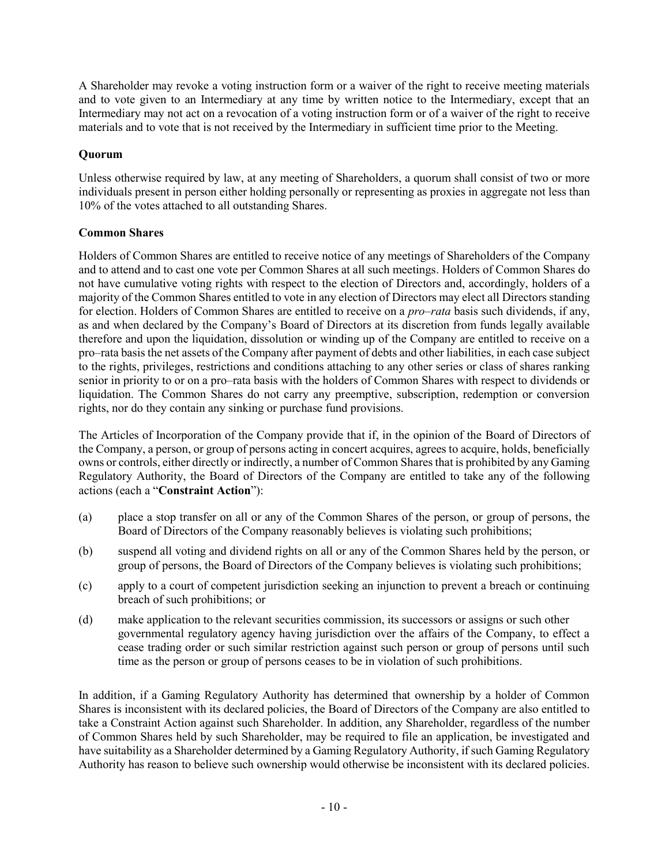A Shareholder may revoke a voting instruction form or a waiver of the right to receive meeting materials and to vote given to an Intermediary at any time by written notice to the Intermediary, except that an Intermediary may not act on a revocation of a voting instruction form or of a waiver of the right to receive materials and to vote that is not received by the Intermediary in sufficient time prior to the Meeting.

# **Quorum**

Unless otherwise required by law, at any meeting of Shareholders, a quorum shall consist of two or more individuals present in person either holding personally or representing as proxies in aggregate not less than 10% of the votes attached to all outstanding Shares.

# **Common Shares**

Holders of Common Shares are entitled to receive notice of any meetings of Shareholders of the Company and to attend and to cast one vote per Common Shares at all such meetings. Holders of Common Shares do not have cumulative voting rights with respect to the election of Directors and, accordingly, holders of a majority of the Common Shares entitled to vote in any election of Directors may elect all Directors standing for election. Holders of Common Shares are entitled to receive on a *pro–rata* basis such dividends, if any, as and when declared by the Company's Board of Directors at its discretion from funds legally available therefore and upon the liquidation, dissolution or winding up of the Company are entitled to receive on a pro–rata basis the net assets of the Company after payment of debts and other liabilities, in each case subject to the rights, privileges, restrictions and conditions attaching to any other series or class of shares ranking senior in priority to or on a pro–rata basis with the holders of Common Shares with respect to dividends or liquidation. The Common Shares do not carry any preemptive, subscription, redemption or conversion rights, nor do they contain any sinking or purchase fund provisions.

The Articles of Incorporation of the Company provide that if, in the opinion of the Board of Directors of the Company, a person, or group of persons acting in concert acquires, agrees to acquire, holds, beneficially owns or controls, either directly or indirectly, a number of Common Shares that is prohibited by any Gaming Regulatory Authority, the Board of Directors of the Company are entitled to take any of the following actions (each a "**Constraint Action**"):

- (a) place a stop transfer on all or any of the Common Shares of the person, or group of persons, the Board of Directors of the Company reasonably believes is violating such prohibitions;
- (b) suspend all voting and dividend rights on all or any of the Common Shares held by the person, or group of persons, the Board of Directors of the Company believes is violating such prohibitions;
- (c) apply to a court of competent jurisdiction seeking an injunction to prevent a breach or continuing breach of such prohibitions; or
- (d) make application to the relevant securities commission, its successors or assigns or such other governmental regulatory agency having jurisdiction over the affairs of the Company, to effect a cease trading order or such similar restriction against such person or group of persons until such time as the person or group of persons ceases to be in violation of such prohibitions.

In addition, if a Gaming Regulatory Authority has determined that ownership by a holder of Common Shares is inconsistent with its declared policies, the Board of Directors of the Company are also entitled to take a Constraint Action against such Shareholder. In addition, any Shareholder, regardless of the number of Common Shares held by such Shareholder, may be required to file an application, be investigated and have suitability as a Shareholder determined by a Gaming Regulatory Authority, if such Gaming Regulatory Authority has reason to believe such ownership would otherwise be inconsistent with its declared policies.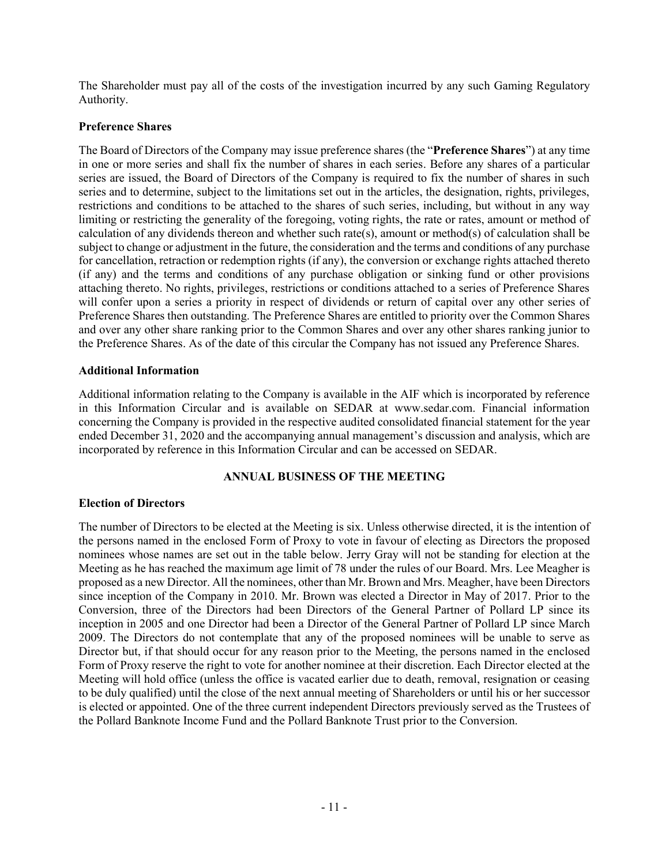The Shareholder must pay all of the costs of the investigation incurred by any such Gaming Regulatory Authority.

### **Preference Shares**

The Board of Directors of the Company may issue preference shares (the "**Preference Shares**") at any time in one or more series and shall fix the number of shares in each series. Before any shares of a particular series are issued, the Board of Directors of the Company is required to fix the number of shares in such series and to determine, subject to the limitations set out in the articles, the designation, rights, privileges, restrictions and conditions to be attached to the shares of such series, including, but without in any way limiting or restricting the generality of the foregoing, voting rights, the rate or rates, amount or method of calculation of any dividends thereon and whether such rate(s), amount or method(s) of calculation shall be subject to change or adjustment in the future, the consideration and the terms and conditions of any purchase for cancellation, retraction or redemption rights (if any), the conversion or exchange rights attached thereto (if any) and the terms and conditions of any purchase obligation or sinking fund or other provisions attaching thereto. No rights, privileges, restrictions or conditions attached to a series of Preference Shares will confer upon a series a priority in respect of dividends or return of capital over any other series of Preference Shares then outstanding. The Preference Shares are entitled to priority over the Common Shares and over any other share ranking prior to the Common Shares and over any other shares ranking junior to the Preference Shares. As of the date of this circular the Company has not issued any Preference Shares.

### **Additional Information**

Additional information relating to the Company is available in the AIF which is incorporated by reference in this Information Circular and is available on SEDAR at www.sedar.com. Financial information concerning the Company is provided in the respective audited consolidated financial statement for the year ended December 31, 2020 and the accompanying annual management's discussion and analysis, which are incorporated by reference in this Information Circular and can be accessed on SEDAR.

### **ANNUAL BUSINESS OF THE MEETING**

### **Election of Directors**

The number of Directors to be elected at the Meeting is six. Unless otherwise directed, it is the intention of the persons named in the enclosed Form of Proxy to vote in favour of electing as Directors the proposed nominees whose names are set out in the table below. Jerry Gray will not be standing for election at the Meeting as he has reached the maximum age limit of 78 under the rules of our Board. Mrs. Lee Meagher is proposed as a new Director. All the nominees, other than Mr. Brown and Mrs. Meagher, have been Directors since inception of the Company in 2010. Mr. Brown was elected a Director in May of 2017. Prior to the Conversion, three of the Directors had been Directors of the General Partner of Pollard LP since its inception in 2005 and one Director had been a Director of the General Partner of Pollard LP since March 2009. The Directors do not contemplate that any of the proposed nominees will be unable to serve as Director but, if that should occur for any reason prior to the Meeting, the persons named in the enclosed Form of Proxy reserve the right to vote for another nominee at their discretion. Each Director elected at the Meeting will hold office (unless the office is vacated earlier due to death, removal, resignation or ceasing to be duly qualified) until the close of the next annual meeting of Shareholders or until his or her successor is elected or appointed. One of the three current independent Directors previously served as the Trustees of the Pollard Banknote Income Fund and the Pollard Banknote Trust prior to the Conversion.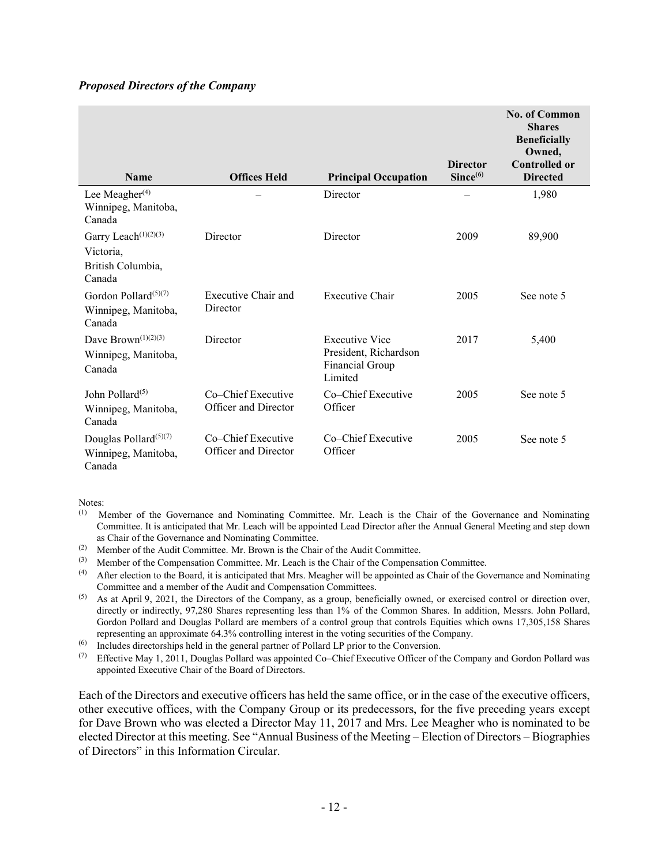### *Proposed Directors of the Company*

|                                                                              |                                            |                                                                              |                                         | <b>No. of Common</b><br><b>Shares</b><br><b>Beneficially</b><br>Owned, |
|------------------------------------------------------------------------------|--------------------------------------------|------------------------------------------------------------------------------|-----------------------------------------|------------------------------------------------------------------------|
| <b>Name</b>                                                                  | <b>Offices Held</b>                        | <b>Principal Occupation</b>                                                  | <b>Director</b><br>Since <sup>(6)</sup> | <b>Controlled or</b><br><b>Directed</b>                                |
| Lee Meagher $(4)$<br>Winnipeg, Manitoba,<br>Canada                           |                                            | Director                                                                     |                                         | 1,980                                                                  |
| Garry Leach <sup>(1)(2)(3)</sup><br>Victoria,<br>British Columbia,<br>Canada | Director                                   | Director                                                                     | 2009                                    | 89,900                                                                 |
| Gordon Pollard $(5)(7)$<br>Winnipeg, Manitoba,<br>Canada                     | Executive Chair and<br>Director            | <b>Executive Chair</b>                                                       | 2005                                    | See note 5                                                             |
| Dave Brown $(1)(2)(3)$<br>Winnipeg, Manitoba,<br>Canada                      | Director                                   | <b>Executive Vice</b><br>President, Richardson<br>Financial Group<br>Limited | 2017                                    | 5,400                                                                  |
| John Pollard <sup>(5)</sup><br>Winnipeg, Manitoba,<br>Canada                 | Co–Chief Executive<br>Officer and Director | Co–Chief Executive<br>Officer                                                | 2005                                    | See note 5                                                             |
| Douglas Pollard $(5)(7)$<br>Winnipeg, Manitoba,<br>Canada                    | Co–Chief Executive<br>Officer and Director | Co–Chief Executive<br>Officer                                                | 2005                                    | See note 5                                                             |

Notes:

- (1) Member of the Governance and Nominating Committee. Mr. Leach is the Chair of the Governance and Nominating Committee. It is anticipated that Mr. Leach will be appointed Lead Director after the Annual General Meeting and step down as Chair of the Governance and Nominating Committee.
- (2) Member of the Audit Committee. Mr. Brown is the Chair of the Audit Committee.
- (3) Member of the Compensation Committee. Mr. Leach is the Chair of the Compensation Committee.
- $<sup>(4)</sup>$  After election to the Board, it is anticipated that Mrs. Meagher will be appointed as Chair of the Governance and Nominating</sup> Committee and a member of the Audit and Compensation Committees.
- (5) As at April 9, 2021, the Directors of the Company, as a group, beneficially owned, or exercised control or direction over, directly or indirectly, 97,280 Shares representing less than 1% of the Common Shares. In addition, Messrs. John Pollard, Gordon Pollard and Douglas Pollard are members of a control group that controls Equities which owns 17,305,158 Shares representing an approximate 64.3% controlling interest in the voting securities of the Company.
- (6) Includes directorships held in the general partner of Pollard LP prior to the Conversion.<br>
(7) Effective May 1–2011 Douglas Pollard was appointed Co–Chief Executive Officer of t
- Effective May 1, 2011, Douglas Pollard was appointed Co–Chief Executive Officer of the Company and Gordon Pollard was appointed Executive Chair of the Board of Directors.

Each of the Directors and executive officers has held the same office, or in the case of the executive officers, other executive offices, with the Company Group or its predecessors, for the five preceding years except for Dave Brown who was elected a Director May 11, 2017 and Mrs. Lee Meagher who is nominated to be elected Director at this meeting. See "Annual Business of the Meeting – Election of Directors – Biographies of Directors" in this Information Circular.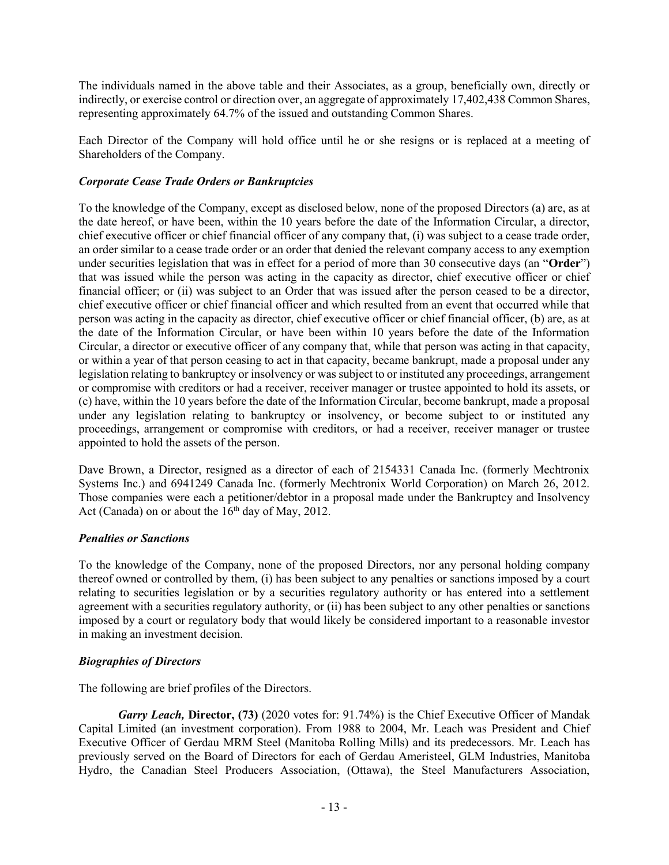The individuals named in the above table and their Associates, as a group, beneficially own, directly or indirectly, or exercise control or direction over, an aggregate of approximately 17,402,438 Common Shares, representing approximately 64.7% of the issued and outstanding Common Shares.

Each Director of the Company will hold office until he or she resigns or is replaced at a meeting of Shareholders of the Company.

# *Corporate Cease Trade Orders or Bankruptcies*

To the knowledge of the Company, except as disclosed below, none of the proposed Directors (a) are, as at the date hereof, or have been, within the 10 years before the date of the Information Circular, a director, chief executive officer or chief financial officer of any company that, (i) was subject to a cease trade order, an order similar to a cease trade order or an order that denied the relevant company access to any exemption under securities legislation that was in effect for a period of more than 30 consecutive days (an "**Order**") that was issued while the person was acting in the capacity as director, chief executive officer or chief financial officer; or (ii) was subject to an Order that was issued after the person ceased to be a director, chief executive officer or chief financial officer and which resulted from an event that occurred while that person was acting in the capacity as director, chief executive officer or chief financial officer, (b) are, as at the date of the Information Circular, or have been within 10 years before the date of the Information Circular, a director or executive officer of any company that, while that person was acting in that capacity, or within a year of that person ceasing to act in that capacity, became bankrupt, made a proposal under any legislation relating to bankruptcy or insolvency or was subject to or instituted any proceedings, arrangement or compromise with creditors or had a receiver, receiver manager or trustee appointed to hold its assets, or (c) have, within the 10 years before the date of the Information Circular, become bankrupt, made a proposal under any legislation relating to bankruptcy or insolvency, or become subject to or instituted any proceedings, arrangement or compromise with creditors, or had a receiver, receiver manager or trustee appointed to hold the assets of the person.

Dave Brown, a Director, resigned as a director of each of 2154331 Canada Inc. (formerly Mechtronix Systems Inc.) and 6941249 Canada Inc. (formerly Mechtronix World Corporation) on March 26, 2012. Those companies were each a petitioner/debtor in a proposal made under the Bankruptcy and Insolvency Act (Canada) on or about the  $16<sup>th</sup>$  day of May, 2012.

# *Penalties or Sanctions*

To the knowledge of the Company, none of the proposed Directors, nor any personal holding company thereof owned or controlled by them, (i) has been subject to any penalties or sanctions imposed by a court relating to securities legislation or by a securities regulatory authority or has entered into a settlement agreement with a securities regulatory authority, or (ii) has been subject to any other penalties or sanctions imposed by a court or regulatory body that would likely be considered important to a reasonable investor in making an investment decision.

# *Biographies of Directors*

The following are brief profiles of the Directors.

*Garry Leach,* **Director, (73)** (2020 votes for: 91.74%) is the Chief Executive Officer of Mandak Capital Limited (an investment corporation). From 1988 to 2004, Mr. Leach was President and Chief Executive Officer of Gerdau MRM Steel (Manitoba Rolling Mills) and its predecessors. Mr. Leach has previously served on the Board of Directors for each of Gerdau Ameristeel, GLM Industries, Manitoba Hydro, the Canadian Steel Producers Association, (Ottawa), the Steel Manufacturers Association,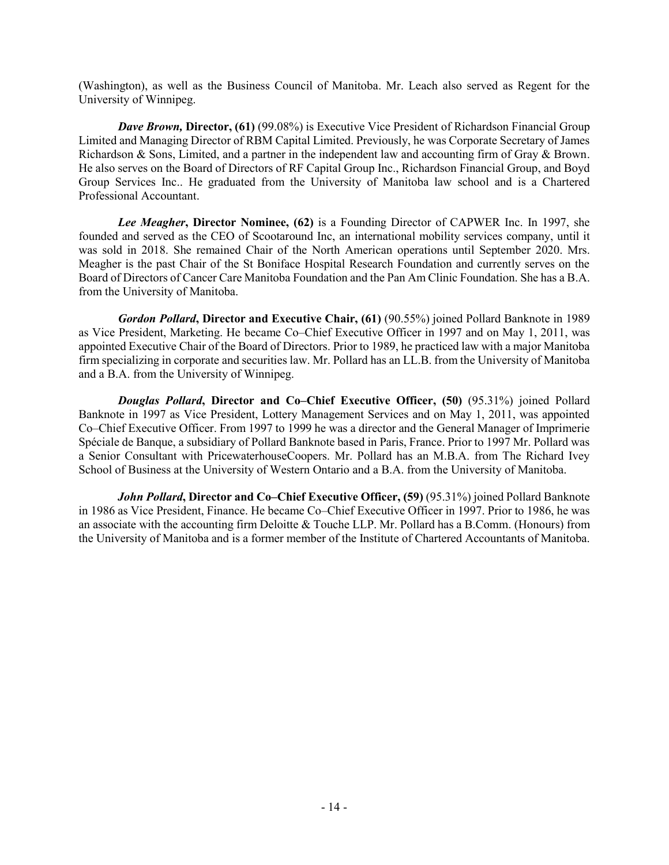(Washington), as well as the Business Council of Manitoba. Mr. Leach also served as Regent for the University of Winnipeg.

*Dave Brown,* **Director, (61)** (99.08%) is Executive Vice President of Richardson Financial Group Limited and Managing Director of RBM Capital Limited. Previously, he was Corporate Secretary of James Richardson & Sons, Limited, and a partner in the independent law and accounting firm of Gray & Brown. He also serves on the Board of Directors of RF Capital Group Inc., Richardson Financial Group, and Boyd Group Services Inc.. He graduated from the University of Manitoba law school and is a Chartered Professional Accountant.

*Lee Meagher***, Director Nominee, (62)** is a Founding Director of CAPWER Inc. In 1997, she founded and served as the CEO of Scootaround Inc, an international mobility services company, until it was sold in 2018. She remained Chair of the North American operations until September 2020. Mrs. Meagher is the past Chair of the St Boniface Hospital Research Foundation and currently serves on the Board of Directors of Cancer Care Manitoba Foundation and the Pan Am Clinic Foundation. She has a B.A. from the University of Manitoba.

*Gordon Pollard***, Director and Executive Chair, (61)** (90.55%) joined Pollard Banknote in 1989 as Vice President, Marketing. He became Co–Chief Executive Officer in 1997 and on May 1, 2011, was appointed Executive Chair of the Board of Directors. Prior to 1989, he practiced law with a major Manitoba firm specializing in corporate and securities law. Mr. Pollard has an LL.B. from the University of Manitoba and a B.A. from the University of Winnipeg.

*Douglas Pollard***, Director and Co–Chief Executive Officer, (50)** (95.31%) joined Pollard Banknote in 1997 as Vice President, Lottery Management Services and on May 1, 2011, was appointed Co–Chief Executive Officer. From 1997 to 1999 he was a director and the General Manager of Imprimerie Spéciale de Banque, a subsidiary of Pollard Banknote based in Paris, France. Prior to 1997 Mr. Pollard was a Senior Consultant with PricewaterhouseCoopers. Mr. Pollard has an M.B.A. from The Richard Ivey School of Business at the University of Western Ontario and a B.A. from the University of Manitoba.

*John Pollard***, Director and Co–Chief Executive Officer, (59)** (95.31%) joined Pollard Banknote in 1986 as Vice President, Finance. He became Co–Chief Executive Officer in 1997. Prior to 1986, he was an associate with the accounting firm Deloitte & Touche LLP. Mr. Pollard has a B.Comm. (Honours) from the University of Manitoba and is a former member of the Institute of Chartered Accountants of Manitoba.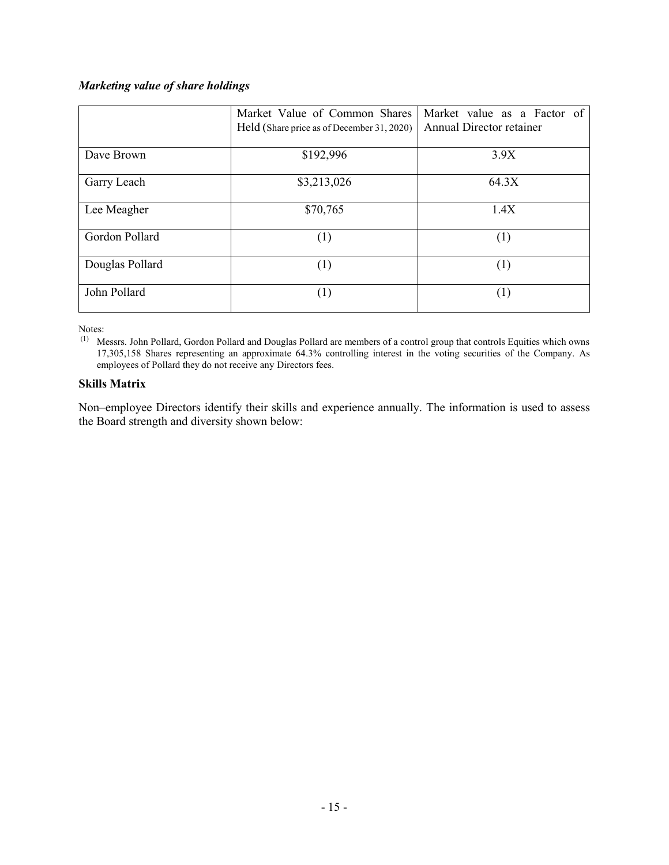# *Marketing value of share holdings*

|                 | Market Value of Common Shares<br>Held (Share price as of December 31, 2020) | Market value as a Factor of<br>Annual Director retainer |  |  |  |  |  |
|-----------------|-----------------------------------------------------------------------------|---------------------------------------------------------|--|--|--|--|--|
| Dave Brown      | \$192,996                                                                   | 3.9X                                                    |  |  |  |  |  |
| Garry Leach     | \$3,213,026                                                                 | 64.3X                                                   |  |  |  |  |  |
| Lee Meagher     | \$70,765                                                                    | 1.4X                                                    |  |  |  |  |  |
| Gordon Pollard  | (1)                                                                         | (1)                                                     |  |  |  |  |  |
| Douglas Pollard | (1)                                                                         | (1)                                                     |  |  |  |  |  |
| John Pollard    | (1)                                                                         | (1)                                                     |  |  |  |  |  |

Notes:

(1) Messrs. John Pollard, Gordon Pollard and Douglas Pollard are members of a control group that controls Equities which owns 17,305,158 Shares representing an approximate 64.3% controlling interest in the voting securities of the Company. As employees of Pollard they do not receive any Directors fees.

### **Skills Matrix**

Non–employee Directors identify their skills and experience annually. The information is used to assess the Board strength and diversity shown below: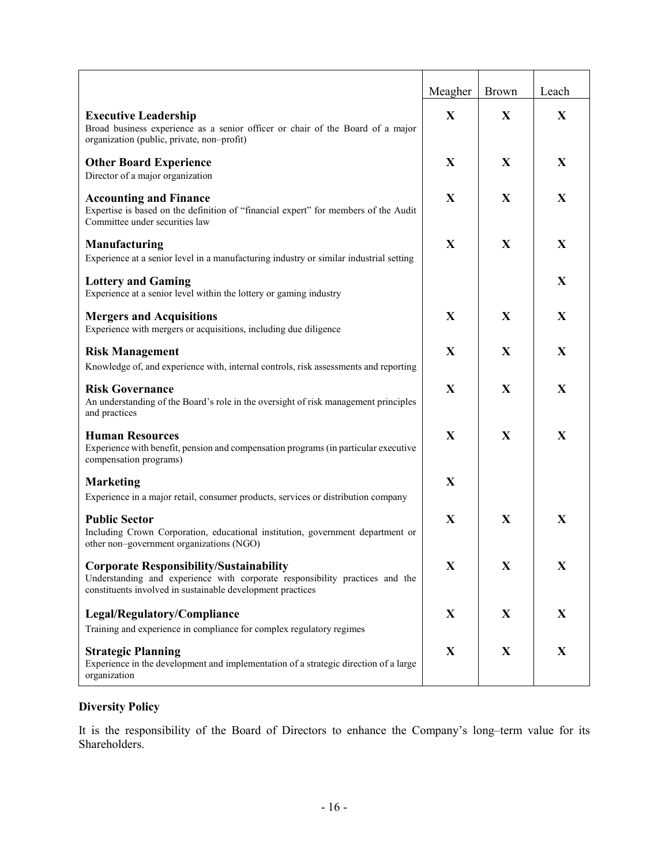|                                                                                                                                                                                              | Meagher     | <b>Brown</b> | Leach        |
|----------------------------------------------------------------------------------------------------------------------------------------------------------------------------------------------|-------------|--------------|--------------|
| <b>Executive Leadership</b><br>Broad business experience as a senior officer or chair of the Board of a major<br>organization (public, private, non-profit)                                  | $\mathbf X$ | X            | $\mathbf X$  |
| <b>Other Board Experience</b><br>Director of a major organization                                                                                                                            | X           | X            | X            |
| <b>Accounting and Finance</b><br>Expertise is based on the definition of "financial expert" for members of the Audit<br>Committee under securities law                                       | X           | X            | X            |
| <b>Manufacturing</b><br>Experience at a senior level in a manufacturing industry or similar industrial setting                                                                               | X           | X            | X            |
| <b>Lottery and Gaming</b><br>Experience at a senior level within the lottery or gaming industry                                                                                              |             |              | X            |
| <b>Mergers and Acquisitions</b><br>Experience with mergers or acquisitions, including due diligence                                                                                          | X           | X            | X            |
| <b>Risk Management</b><br>Knowledge of, and experience with, internal controls, risk assessments and reporting                                                                               | X           | X            | X            |
| <b>Risk Governance</b><br>An understanding of the Board's role in the oversight of risk management principles<br>and practices                                                               | X           | $\mathbf{X}$ | X            |
| <b>Human Resources</b><br>Experience with benefit, pension and compensation programs (in particular executive<br>compensation programs)                                                      | X           | $\mathbf{X}$ | $\mathbf{X}$ |
| <b>Marketing</b><br>Experience in a major retail, consumer products, services or distribution company                                                                                        | X           |              |              |
| <b>Public Sector</b><br>Including Crown Corporation, educational institution, government department or<br>other non-government organizations (NGO)                                           | X           | X            | X            |
| <b>Corporate Responsibility/Sustainability</b><br>Understanding and experience with corporate responsibility practices and the<br>constituents involved in sustainable development practices | X           | X            | X            |
| Legal/Regulatory/Compliance<br>Training and experience in compliance for complex regulatory regimes                                                                                          | X           | X            | X            |
| <b>Strategic Planning</b><br>Experience in the development and implementation of a strategic direction of a large<br>organization                                                            | X           | X            | X            |

# **Diversity Policy**

It is the responsibility of the Board of Directors to enhance the Company's long–term value for its Shareholders.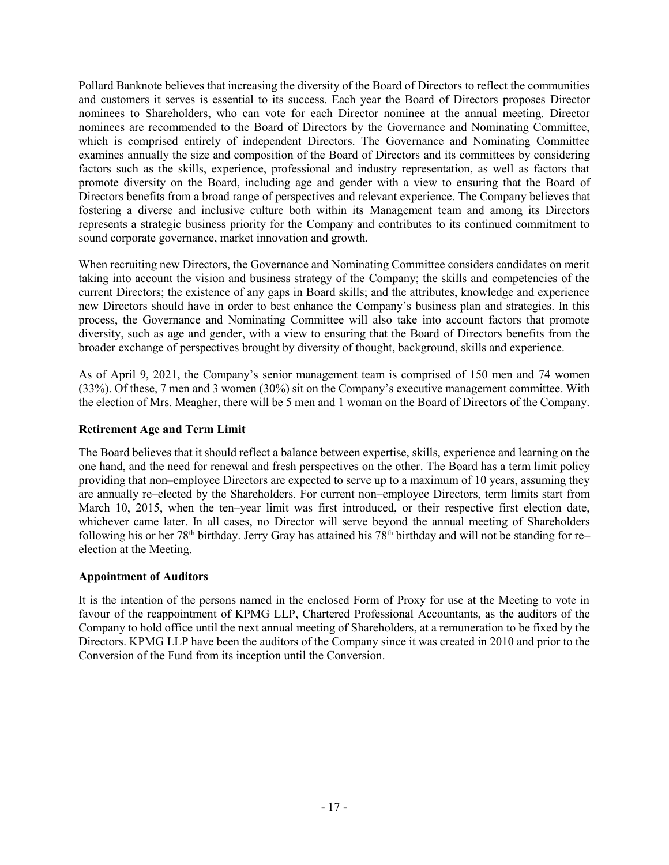Pollard Banknote believes that increasing the diversity of the Board of Directors to reflect the communities and customers it serves is essential to its success. Each year the Board of Directors proposes Director nominees to Shareholders, who can vote for each Director nominee at the annual meeting. Director nominees are recommended to the Board of Directors by the Governance and Nominating Committee, which is comprised entirely of independent Directors. The Governance and Nominating Committee examines annually the size and composition of the Board of Directors and its committees by considering factors such as the skills, experience, professional and industry representation, as well as factors that promote diversity on the Board, including age and gender with a view to ensuring that the Board of Directors benefits from a broad range of perspectives and relevant experience. The Company believes that fostering a diverse and inclusive culture both within its Management team and among its Directors represents a strategic business priority for the Company and contributes to its continued commitment to sound corporate governance, market innovation and growth.

When recruiting new Directors, the Governance and Nominating Committee considers candidates on merit taking into account the vision and business strategy of the Company; the skills and competencies of the current Directors; the existence of any gaps in Board skills; and the attributes, knowledge and experience new Directors should have in order to best enhance the Company's business plan and strategies. In this process, the Governance and Nominating Committee will also take into account factors that promote diversity, such as age and gender, with a view to ensuring that the Board of Directors benefits from the broader exchange of perspectives brought by diversity of thought, background, skills and experience.

As of April 9, 2021, the Company's senior management team is comprised of 150 men and 74 women (33%). Of these, 7 men and 3 women (30%) sit on the Company's executive management committee. With the election of Mrs. Meagher, there will be 5 men and 1 woman on the Board of Directors of the Company.

### **Retirement Age and Term Limit**

The Board believes that it should reflect a balance between expertise, skills, experience and learning on the one hand, and the need for renewal and fresh perspectives on the other. The Board has a term limit policy providing that non–employee Directors are expected to serve up to a maximum of 10 years, assuming they are annually re–elected by the Shareholders. For current non–employee Directors, term limits start from March 10, 2015, when the ten–year limit was first introduced, or their respective first election date, whichever came later. In all cases, no Director will serve beyond the annual meeting of Shareholders following his or her 78<sup>th</sup> birthday. Jerry Gray has attained his 78<sup>th</sup> birthday and will not be standing for re– election at the Meeting.

### **Appointment of Auditors**

It is the intention of the persons named in the enclosed Form of Proxy for use at the Meeting to vote in favour of the reappointment of KPMG LLP, Chartered Professional Accountants, as the auditors of the Company to hold office until the next annual meeting of Shareholders, at a remuneration to be fixed by the Directors. KPMG LLP have been the auditors of the Company since it was created in 2010 and prior to the Conversion of the Fund from its inception until the Conversion.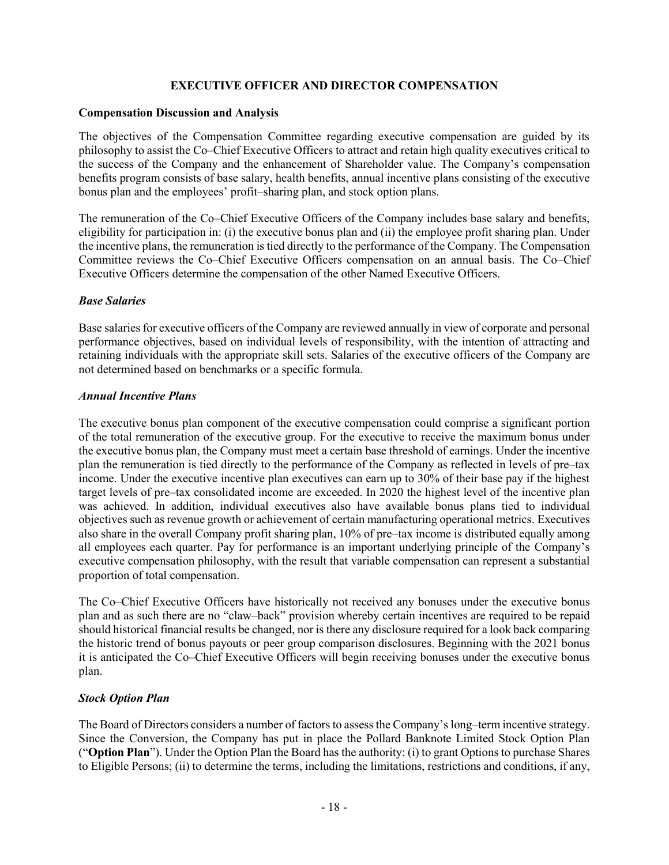### **EXECUTIVE OFFICER AND DIRECTOR COMPENSATION**

#### **Compensation Discussion and Analysis**

The objectives of the Compensation Committee regarding executive compensation are guided by its philosophy to assist the Co–Chief Executive Officers to attract and retain high quality executives critical to the success of the Company and the enhancement of Shareholder value. The Company's compensation benefits program consists of base salary, health benefits, annual incentive plans consisting of the executive bonus plan and the employees' profit–sharing plan, and stock option plans.

The remuneration of the Co–Chief Executive Officers of the Company includes base salary and benefits, eligibility for participation in: (i) the executive bonus plan and (ii) the employee profit sharing plan. Under the incentive plans, the remuneration is tied directly to the performance of the Company. The Compensation Committee reviews the Co–Chief Executive Officers compensation on an annual basis. The Co–Chief Executive Officers determine the compensation of the other Named Executive Officers.

### *Base Salaries*

Base salaries for executive officers of the Company are reviewed annually in view of corporate and personal performance objectives, based on individual levels of responsibility, with the intention of attracting and retaining individuals with the appropriate skill sets. Salaries of the executive officers of the Company are not determined based on benchmarks or a specific formula.

### *Annual Incentive Plans*

The executive bonus plan component of the executive compensation could comprise a significant portion of the total remuneration of the executive group. For the executive to receive the maximum bonus under the executive bonus plan, the Company must meet a certain base threshold of earnings. Under the incentive plan the remuneration is tied directly to the performance of the Company as reflected in levels of pre–tax income. Under the executive incentive plan executives can earn up to 30% of their base pay if the highest target levels of pre–tax consolidated income are exceeded. In 2020 the highest level of the incentive plan was achieved. In addition, individual executives also have available bonus plans tied to individual objectives such as revenue growth or achievement of certain manufacturing operational metrics. Executives also share in the overall Company profit sharing plan, 10% of pre–tax income is distributed equally among all employees each quarter. Pay for performance is an important underlying principle of the Company's executive compensation philosophy, with the result that variable compensation can represent a substantial proportion of total compensation.

The Co–Chief Executive Officers have historically not received any bonuses under the executive bonus plan and as such there are no "claw–back" provision whereby certain incentives are required to be repaid should historical financial results be changed, nor is there any disclosure required for a look back comparing the historic trend of bonus payouts or peer group comparison disclosures. Beginning with the 2021 bonus it is anticipated the Co–Chief Executive Officers will begin receiving bonuses under the executive bonus plan.

### *Stock Option Plan*

The Board of Directors considers a number of factors to assess the Company's long–term incentive strategy. Since the Conversion, the Company has put in place the Pollard Banknote Limited Stock Option Plan ("**Option Plan**"). Under the Option Plan the Board has the authority: (i) to grant Options to purchase Shares to Eligible Persons; (ii) to determine the terms, including the limitations, restrictions and conditions, if any,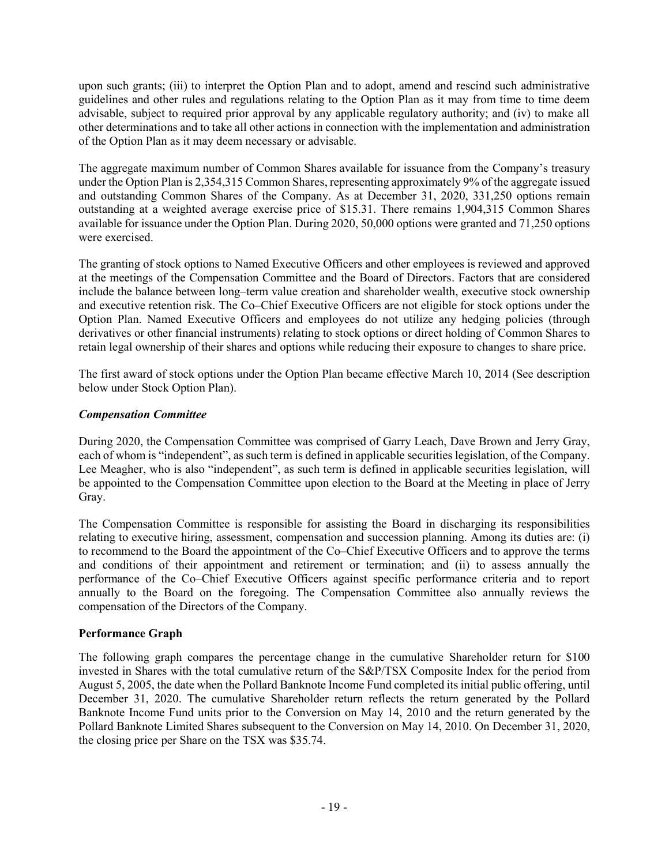upon such grants; (iii) to interpret the Option Plan and to adopt, amend and rescind such administrative guidelines and other rules and regulations relating to the Option Plan as it may from time to time deem advisable, subject to required prior approval by any applicable regulatory authority; and (iv) to make all other determinations and to take all other actions in connection with the implementation and administration of the Option Plan as it may deem necessary or advisable.

The aggregate maximum number of Common Shares available for issuance from the Company's treasury under the Option Plan is 2,354,315 Common Shares, representing approximately 9% of the aggregate issued and outstanding Common Shares of the Company. As at December 31, 2020, 331,250 options remain outstanding at a weighted average exercise price of \$15.31. There remains 1,904,315 Common Shares available for issuance under the Option Plan. During 2020, 50,000 options were granted and 71,250 options were exercised.

The granting of stock options to Named Executive Officers and other employees is reviewed and approved at the meetings of the Compensation Committee and the Board of Directors. Factors that are considered include the balance between long–term value creation and shareholder wealth, executive stock ownership and executive retention risk. The Co–Chief Executive Officers are not eligible for stock options under the Option Plan. Named Executive Officers and employees do not utilize any hedging policies (through derivatives or other financial instruments) relating to stock options or direct holding of Common Shares to retain legal ownership of their shares and options while reducing their exposure to changes to share price.

The first award of stock options under the Option Plan became effective March 10, 2014 (See description below under Stock Option Plan).

# *Compensation Committee*

During 2020, the Compensation Committee was comprised of Garry Leach, Dave Brown and Jerry Gray, each of whom is "independent", as such term is defined in applicable securities legislation, of the Company. Lee Meagher, who is also "independent", as such term is defined in applicable securities legislation, will be appointed to the Compensation Committee upon election to the Board at the Meeting in place of Jerry Gray.

The Compensation Committee is responsible for assisting the Board in discharging its responsibilities relating to executive hiring, assessment, compensation and succession planning. Among its duties are: (i) to recommend to the Board the appointment of the Co–Chief Executive Officers and to approve the terms and conditions of their appointment and retirement or termination; and (ii) to assess annually the performance of the Co–Chief Executive Officers against specific performance criteria and to report annually to the Board on the foregoing. The Compensation Committee also annually reviews the compensation of the Directors of the Company.

# **Performance Graph**

The following graph compares the percentage change in the cumulative Shareholder return for \$100 invested in Shares with the total cumulative return of the S&P/TSX Composite Index for the period from August 5, 2005, the date when the Pollard Banknote Income Fund completed its initial public offering, until December 31, 2020. The cumulative Shareholder return reflects the return generated by the Pollard Banknote Income Fund units prior to the Conversion on May 14, 2010 and the return generated by the Pollard Banknote Limited Shares subsequent to the Conversion on May 14, 2010. On December 31, 2020, the closing price per Share on the TSX was \$35.74.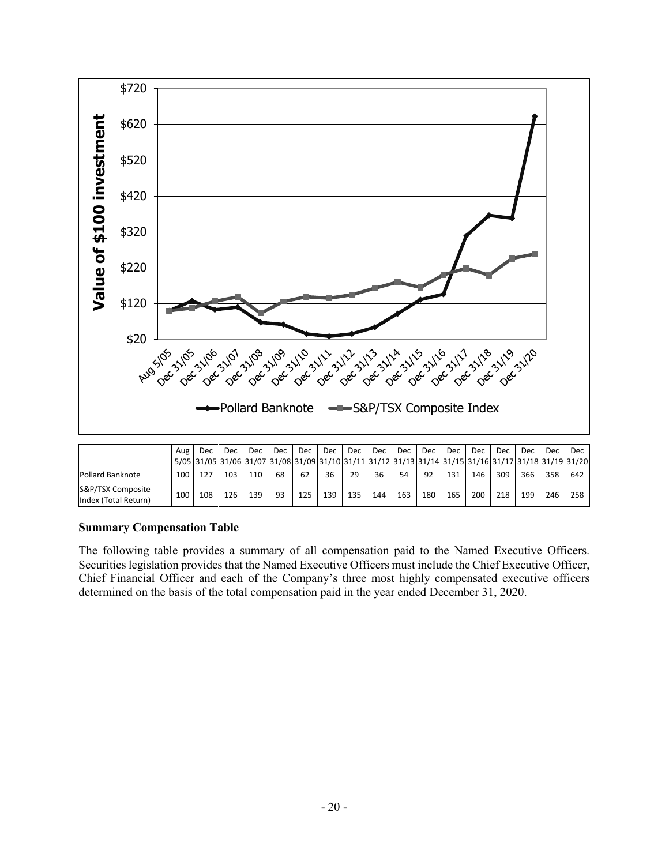

|                                           | Aug | Dec | Dec. | Dec. | Dec. | Dec | Dec. | Dec | <b>Dec</b> | <b>Dec</b>                                                                                           | <b>Dec</b> | Dec. | Dec | Dec. | <b>Dec</b> | Dec | Dec. |
|-------------------------------------------|-----|-----|------|------|------|-----|------|-----|------------|------------------------------------------------------------------------------------------------------|------------|------|-----|------|------------|-----|------|
|                                           |     |     |      |      |      |     |      |     |            | 5/05 31/05 31/06 31/07 31/08 31/09 31/10 31/11 31/12 31/13 31/14 31/15 31/16 31/17 31/18 31/19 31/20 |            |      |     |      |            |     |      |
| Pollard Banknote                          | 100 | 127 | 103  | 110  | 68   | 62  | 36   | 29  | 36         | 54                                                                                                   | 92         | 131  | 146 | 309  | 366        | 358 | 642  |
| S&P/TSX Composite<br>Index (Total Return) | 100 | 108 | 126  | 139  | 93   | 125 | 139  | 135 | 144        | 163                                                                                                  | 180        | 165  | 200 | 218  | 199        | 246 | 258  |

### **Summary Compensation Table**

The following table provides a summary of all compensation paid to the Named Executive Officers. Securities legislation provides that the Named Executive Officers must include the Chief Executive Officer, Chief Financial Officer and each of the Company's three most highly compensated executive officers determined on the basis of the total compensation paid in the year ended December 31, 2020.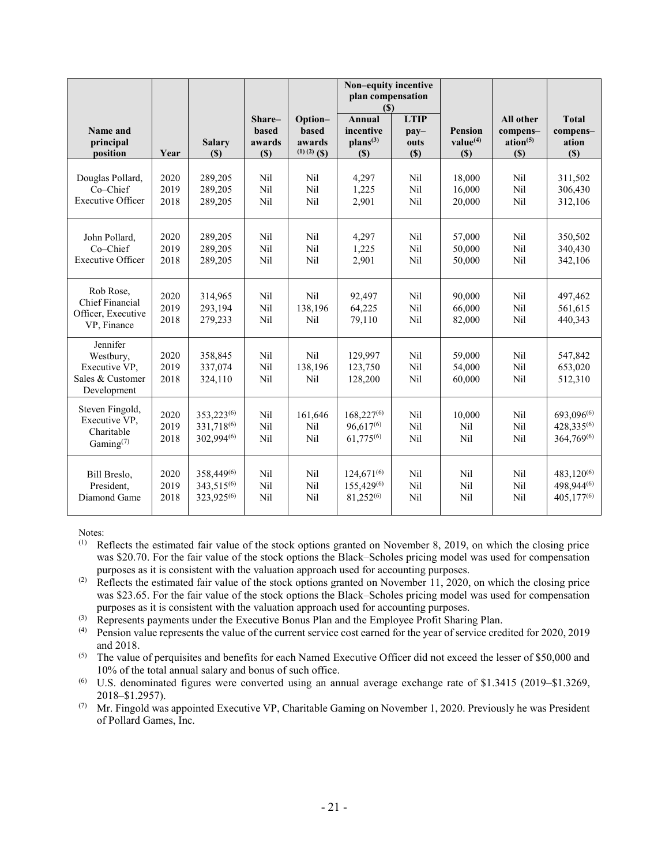|                                                                           |                      |                                                    |                                  |                                             | Non-equity incentive<br>plan compensation<br>$\left( \mathbb{S}\right)$ |                                                                |                                               |                                                      |                                                  |
|---------------------------------------------------------------------------|----------------------|----------------------------------------------------|----------------------------------|---------------------------------------------|-------------------------------------------------------------------------|----------------------------------------------------------------|-----------------------------------------------|------------------------------------------------------|--------------------------------------------------|
| Name and<br>principal<br>position                                         | Year                 | <b>Salary</b><br>(S)                               | Share-<br>based<br>awards<br>(S) | Option-<br>based<br>awards<br>$(1)(2)$ (\$) | <b>Annual</b><br>incentive<br>$plans^{(3)}$<br>$(\$)$                   | <b>LTIP</b><br>$\mathbf{p}\mathbf{a}\mathbf{v}$<br>outs<br>(S) | <b>Pension</b><br>value <sup>(4)</sup><br>(S) | All other<br>compens-<br>ation <sup>(5)</sup><br>(S) | <b>Total</b><br>compens-<br>ation<br>(S)         |
| Douglas Pollard,<br>Co-Chief<br><b>Executive Officer</b>                  | 2020<br>2019<br>2018 | 289,205<br>289,205<br>289,205                      | Nil<br>Nil<br>Nil                | Nil<br>Nil<br>Nil                           | 4,297<br>1,225<br>2,901                                                 | Nil<br>Nil<br>Nil                                              | 18,000<br>16,000<br>20,000                    | Nil<br>Nil<br>Nil                                    | 311,502<br>306,430<br>312,106                    |
| John Pollard,<br>Co-Chief<br><b>Executive Officer</b>                     | 2020<br>2019<br>2018 | 289,205<br>289,205<br>289,205                      | Nil<br>Nil<br>Nil                | Nil<br>Nil<br>Nil                           | 4,297<br>1,225<br>2,901                                                 | Nil<br>Nil<br>Nil                                              | 57,000<br>50,000<br>50.000                    | Nil<br>Nil<br>Nil                                    | 350,502<br>340,430<br>342,106                    |
| Rob Rose,<br><b>Chief Financial</b><br>Officer, Executive<br>VP. Finance  | 2020<br>2019<br>2018 | 314,965<br>293,194<br>279,233                      | Nil<br>Nil<br>Nil                | Nil<br>138,196<br>Nil                       | 92,497<br>64,225<br>79,110                                              | Nil<br>Nil<br>Nil                                              | 90.000<br>66,000<br>82,000                    | Nil<br>Nil<br>Nil                                    | 497,462<br>561,615<br>440,343                    |
| Jennifer<br>Westbury,<br>Executive VP,<br>Sales & Customer<br>Development | 2020<br>2019<br>2018 | 358,845<br>337,074<br>324,110                      | Nil<br>Nil<br>Nil                | Nil<br>138,196<br>Nil                       | 129,997<br>123,750<br>128,200                                           | Nil<br>Nil<br>Nil                                              | 59,000<br>54,000<br>60,000                    | Nil<br>Nil<br>Nil                                    | 547,842<br>653,020<br>512,310                    |
| Steven Fingold,<br>Executive VP,<br>Charitable<br>Gaming $(7)$            | 2020<br>2019<br>2018 | 353,223(6)<br>331,718(6)<br>302.994(6)             | Nil<br>Nil<br>Nil                | 161,646<br>Nil<br>Nil                       | $168,227^{(6)}$<br>96,617(6)<br>$61,775^{(6)}$                          | Nil<br>Nil<br>Nil                                              | 10,000<br>Nil<br>Nil                          | Nil<br>Nil<br>Nil                                    | 693,096(6)<br>428,335(6)<br>364,769(6)           |
| Bill Breslo,<br>President.<br>Diamond Game                                | 2020<br>2019<br>2018 | 358,449(6)<br>343,515(6)<br>323.925 <sup>(6)</sup> | Nil<br>Nil<br>Nil                | Nil<br>Nil<br>Nil                           | $124.671^{(6)}$<br>155,429 <sup>(6)</sup><br>81,252(6)                  | Nil<br>Nil<br>Nil                                              | Nil<br>Nil<br>Nil                             | Nil<br>Nil<br>Nil                                    | $483,120^{(6)}$<br>498,944(6)<br>$405.177^{(6)}$ |

Notes:<br>(1)  $\mathbf{R}$ 

- Reflects the estimated fair value of the stock options granted on November 8, 2019, on which the closing price was \$20.70. For the fair value of the stock options the Black–Scholes pricing model was used for compensation purposes as it is consistent with the valuation approach used for accounting purposes.
- <sup>(2)</sup> Reflects the estimated fair value of the stock options granted on November 11, 2020, on which the closing price was \$23.65. For the fair value of the stock options the Black–Scholes pricing model was used for compensation purposes as it is consistent with the valuation approach used for accounting purposes.
- (3) Represents payments under the Executive Bonus Plan and the Employee Profit Sharing Plan.
- (4) Pension value represents the value of the current service cost earned for the year of service credited for 2020, 2019 and 2018.
- $(5)$  The value of perquisites and benefits for each Named Executive Officer did not exceed the lesser of \$50,000 and 10% of the total annual salary and bonus of such office.
- (6) U.S. denominated figures were converted using an annual average exchange rate of \$1.3415 (2019–\$1.3269, 2018–\$1.2957).
- (7) Mr. Fingold was appointed Executive VP, Charitable Gaming on November 1, 2020. Previously he was President of Pollard Games, Inc.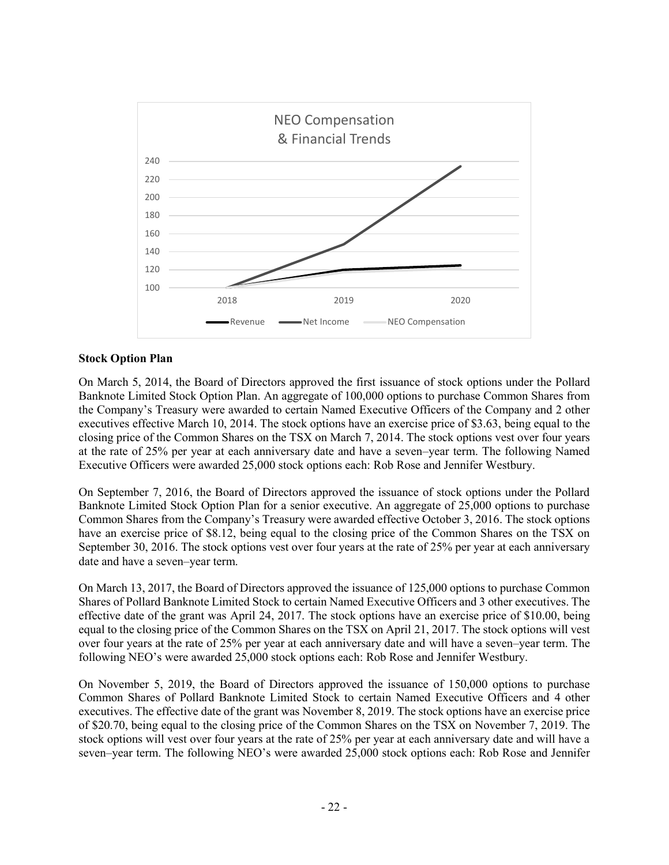

### **Stock Option Plan**

On March 5, 2014, the Board of Directors approved the first issuance of stock options under the Pollard Banknote Limited Stock Option Plan. An aggregate of 100,000 options to purchase Common Shares from the Company's Treasury were awarded to certain Named Executive Officers of the Company and 2 other executives effective March 10, 2014. The stock options have an exercise price of \$3.63, being equal to the closing price of the Common Shares on the TSX on March 7, 2014. The stock options vest over four years at the rate of 25% per year at each anniversary date and have a seven–year term. The following Named Executive Officers were awarded 25,000 stock options each: Rob Rose and Jennifer Westbury.

On September 7, 2016, the Board of Directors approved the issuance of stock options under the Pollard Banknote Limited Stock Option Plan for a senior executive. An aggregate of 25,000 options to purchase Common Shares from the Company's Treasury were awarded effective October 3, 2016. The stock options have an exercise price of \$8.12, being equal to the closing price of the Common Shares on the TSX on September 30, 2016. The stock options vest over four years at the rate of 25% per year at each anniversary date and have a seven–year term.

On March 13, 2017, the Board of Directors approved the issuance of 125,000 options to purchase Common Shares of Pollard Banknote Limited Stock to certain Named Executive Officers and 3 other executives. The effective date of the grant was April 24, 2017. The stock options have an exercise price of \$10.00, being equal to the closing price of the Common Shares on the TSX on April 21, 2017. The stock options will vest over four years at the rate of 25% per year at each anniversary date and will have a seven–year term. The following NEO's were awarded 25,000 stock options each: Rob Rose and Jennifer Westbury.

On November 5, 2019, the Board of Directors approved the issuance of 150,000 options to purchase Common Shares of Pollard Banknote Limited Stock to certain Named Executive Officers and 4 other executives. The effective date of the grant was November 8, 2019. The stock options have an exercise price of \$20.70, being equal to the closing price of the Common Shares on the TSX on November 7, 2019. The stock options will vest over four years at the rate of 25% per year at each anniversary date and will have a seven–year term. The following NEO's were awarded 25,000 stock options each: Rob Rose and Jennifer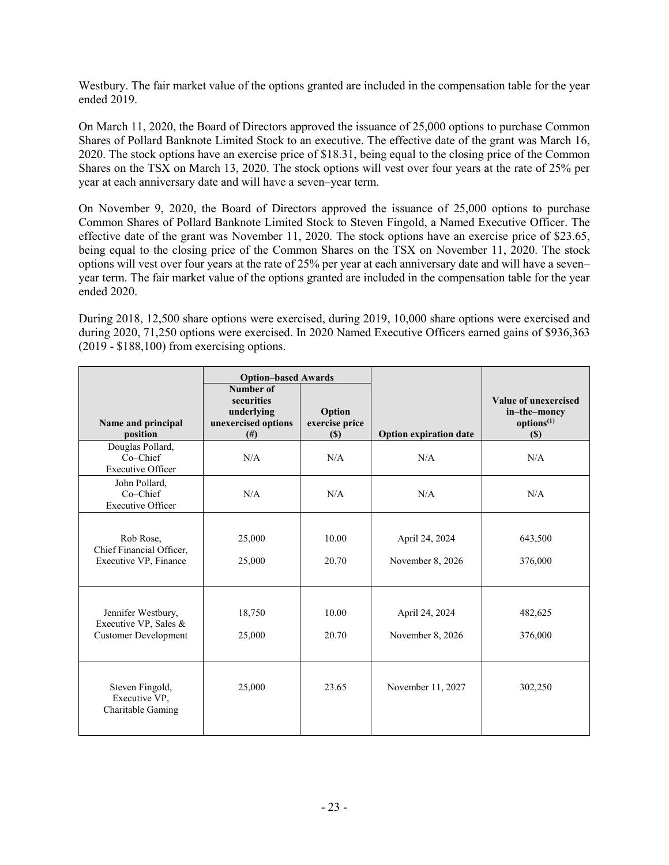Westbury. The fair market value of the options granted are included in the compensation table for the year ended 2019.

On March 11, 2020, the Board of Directors approved the issuance of 25,000 options to purchase Common Shares of Pollard Banknote Limited Stock to an executive. The effective date of the grant was March 16, 2020. The stock options have an exercise price of \$18.31, being equal to the closing price of the Common Shares on the TSX on March 13, 2020. The stock options will vest over four years at the rate of 25% per year at each anniversary date and will have a seven–year term.

On November 9, 2020, the Board of Directors approved the issuance of 25,000 options to purchase Common Shares of Pollard Banknote Limited Stock to Steven Fingold, a Named Executive Officer. The effective date of the grant was November 11, 2020. The stock options have an exercise price of \$23.65, being equal to the closing price of the Common Shares on the TSX on November 11, 2020. The stock options will vest over four years at the rate of 25% per year at each anniversary date and will have a seven– year term. The fair market value of the options granted are included in the compensation table for the year ended 2020.

During 2018, 12,500 share options were exercised, during 2019, 10,000 share options were exercised and during 2020, 71,250 options were exercised. In 2020 Named Executive Officers earned gains of \$936,363 (2019 - \$188,100) from exercising options.

| Name and principal<br>position                                             | <b>Option-based Awards</b><br>Number of<br>securities<br>underlying<br>unexercised options<br>(f#) | Option<br>exercise price<br><b>(\$)</b> | <b>Option expiration date</b>      | <b>Value of unexercised</b><br>in-the-money<br>options <sup>(1)</sup><br>(S) |
|----------------------------------------------------------------------------|----------------------------------------------------------------------------------------------------|-----------------------------------------|------------------------------------|------------------------------------------------------------------------------|
| Douglas Pollard,<br>$Co-Chief$<br><b>Executive Officer</b>                 | N/A                                                                                                | N/A                                     | N/A                                | N/A                                                                          |
| John Pollard,<br>Co-Chief<br><b>Executive Officer</b>                      | N/A                                                                                                | N/A                                     | N/A                                | N/A                                                                          |
| Rob Rose,<br>Chief Financial Officer,<br>Executive VP, Finance             | 25,000<br>25,000                                                                                   | 10.00<br>20.70                          | April 24, 2024<br>November 8, 2026 | 643,500<br>376,000                                                           |
| Jennifer Westbury,<br>Executive VP, Sales &<br><b>Customer Development</b> | 18,750<br>25,000                                                                                   | 10.00<br>20.70                          | April 24, 2024<br>November 8, 2026 | 482,625<br>376,000                                                           |
| Steven Fingold,<br>Executive VP,<br>Charitable Gaming                      | 25,000                                                                                             | 23.65                                   | November 11, 2027                  | 302,250                                                                      |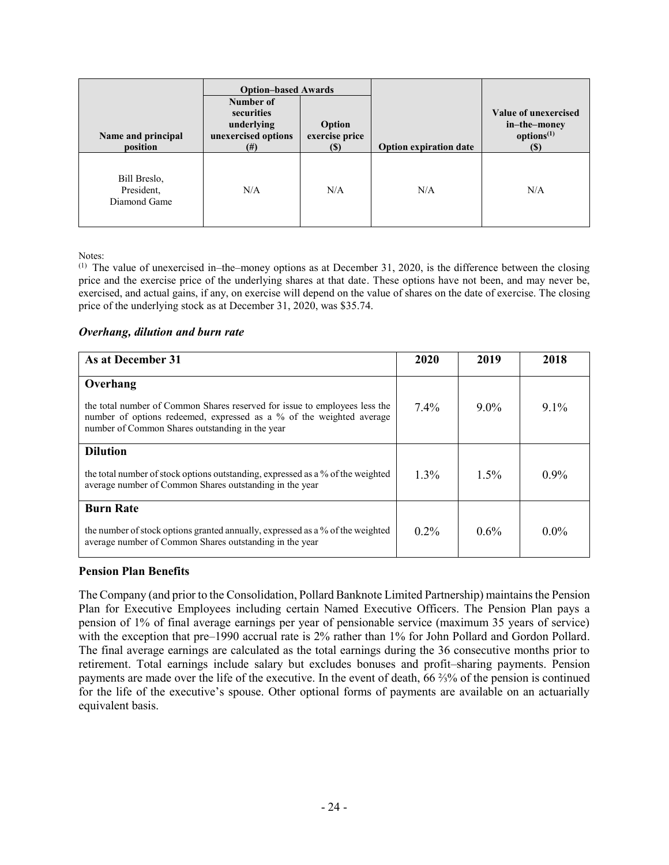| Name and principal<br>position             | <b>Option-based Awards</b><br>Number of<br>securities<br>underlying<br>unexercised options<br>$^{(#)}$ | Option<br>exercise price<br>$\left( \mathbb{S}\right)$ | <b>Option expiration date</b> | Value of unexercised<br>in-the-money<br>options <sup>(1)</sup><br>(S) |
|--------------------------------------------|--------------------------------------------------------------------------------------------------------|--------------------------------------------------------|-------------------------------|-----------------------------------------------------------------------|
| Bill Breslo,<br>President,<br>Diamond Game | N/A                                                                                                    | N/A                                                    | N/A                           | N/A                                                                   |

Notes:

 $<sup>(1)</sup>$  The value of unexercised in–the–money options as at December 31, 2020, is the difference between the closing</sup> price and the exercise price of the underlying shares at that date. These options have not been, and may never be, exercised, and actual gains, if any, on exercise will depend on the value of shares on the date of exercise. The closing price of the underlying stock as at December 31, 2020, was \$35.74.

#### *Overhang, dilution and burn rate*

| As at December 31                                                                                                                                                                                     | 2020    | 2019    | 2018    |
|-------------------------------------------------------------------------------------------------------------------------------------------------------------------------------------------------------|---------|---------|---------|
| Overhang                                                                                                                                                                                              |         |         |         |
| the total number of Common Shares reserved for issue to employees less the<br>number of options redeemed, expressed as a % of the weighted average<br>number of Common Shares outstanding in the year | $7.4\%$ | $9.0\%$ | $91\%$  |
| <b>Dilution</b>                                                                                                                                                                                       |         |         |         |
| the total number of stock options outstanding, expressed as a % of the weighted<br>average number of Common Shares outstanding in the year                                                            | $1.3\%$ | $1.5\%$ | $0.9\%$ |
| <b>Burn Rate</b>                                                                                                                                                                                      |         |         |         |
| the number of stock options granted annually, expressed as a % of the weighted<br>average number of Common Shares outstanding in the year                                                             | $0.2\%$ | $0.6\%$ | $0.0\%$ |

### **Pension Plan Benefits**

The Company (and prior to the Consolidation, Pollard Banknote Limited Partnership) maintains the Pension Plan for Executive Employees including certain Named Executive Officers. The Pension Plan pays a pension of 1% of final average earnings per year of pensionable service (maximum 35 years of service) with the exception that pre–1990 accrual rate is 2% rather than 1% for John Pollard and Gordon Pollard. The final average earnings are calculated as the total earnings during the 36 consecutive months prior to retirement. Total earnings include salary but excludes bonuses and profit–sharing payments. Pension payments are made over the life of the executive. In the event of death, 66 ⅔% of the pension is continued for the life of the executive's spouse. Other optional forms of payments are available on an actuarially equivalent basis.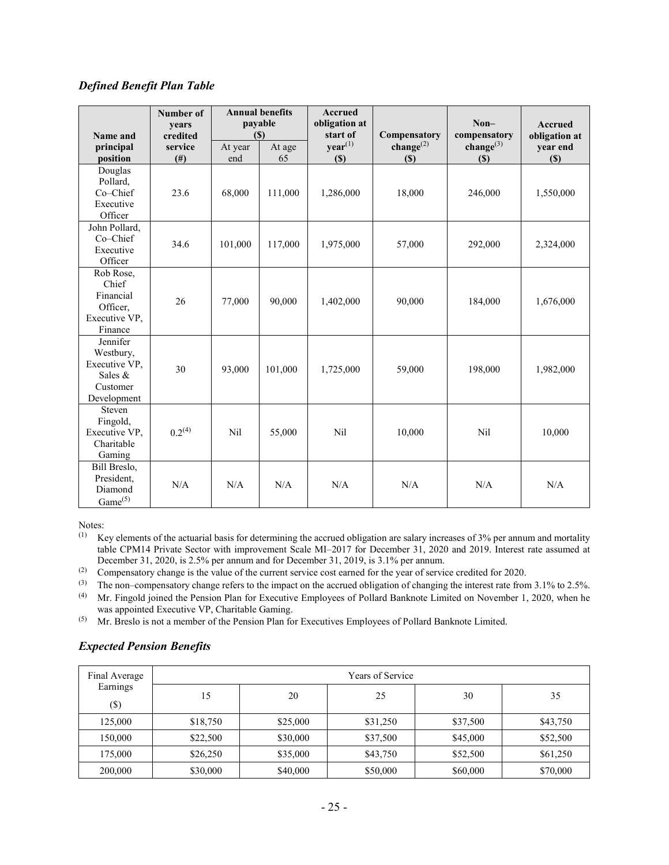### *Defined Benefit Plan Table*

| Name and                                                                     | Number of<br>years<br>credited |                | <b>Annual benefits</b><br>payable<br>(S) | <b>Accrued</b><br>obligation at<br>start of | Compensatory              | $Non-$<br>compensatory    | <b>Accrued</b><br>obligation at |
|------------------------------------------------------------------------------|--------------------------------|----------------|------------------------------------------|---------------------------------------------|---------------------------|---------------------------|---------------------------------|
| principal<br>position                                                        | service<br>$($ # $)$           | At year<br>end | At age<br>65                             | year <sup>(1)</sup><br>$(\$)$               | change $^{(2)}$<br>$(\$)$ | change $^{(3)}$<br>$(\$)$ | vear end<br>$(\$)$              |
| Douglas<br>Pollard.<br>Co-Chief<br>Executive<br>Officer                      | 23.6                           | 68,000         | 111,000                                  | 1,286,000                                   | 18,000                    | 246,000                   | 1,550,000                       |
| John Pollard,<br>Co-Chief<br>Executive<br>Officer                            | 34.6                           | 101,000        | 117,000                                  | 1,975,000                                   | 57,000                    | 292,000                   | 2,324,000                       |
| Rob Rose,<br>Chief<br>Financial<br>Officer,<br>Executive VP,<br>Finance      | 26                             | 77,000         | 90,000                                   | 1,402,000                                   | 90,000                    | 184,000                   | 1,676,000                       |
| Jennifer<br>Westbury,<br>Executive VP.<br>Sales &<br>Customer<br>Development | 30                             | 93,000         | 101,000                                  | 1,725,000                                   | 59,000                    | 198,000                   | 1,982,000                       |
| Steven<br>Fingold,<br>Executive VP,<br>Charitable<br>Gaming                  | 0.2 <sup>(4)</sup>             | Nil            | 55,000                                   | Nil                                         | 10,000                    | Nil                       | 10,000                          |
| Bill Breslo,<br>President,<br>Diamond<br>Game <sup>(5)</sup>                 | N/A                            | N/A            | N/A                                      | N/A                                         | N/A                       | N/A                       | N/A                             |

Notes:

 $(1)$  Key elements of the actuarial basis for determining the accrued obligation are salary increases of 3% per annum and mortality table CPM14 Private Sector with improvement Scale MI–2017 for December 31, 2020 and 2019. Interest rate assumed at December 31, 2020, is 2.5% per annum and for December 31, 2019, is 3.1% per annum.

(2) Compensatory change is the value of the current service cost earned for the year of service credited for 2020.

(3) The non–compensatory change refers to the impact on the accrued obligation of changing the interest rate from 3.1% to 2.5%.<br>(4) Mr Fingold joined the Pension Plan for Executive Employees of Pollard Banknote Limited on (4) Mr. Fingold joined the Pension Plan for Executive Employees of Pollard Banknote Limited on November 1, 2020, when he

was appointed Executive VP, Charitable Gaming.

(5) Mr. Breslo is not a member of the Pension Plan for Executives Employees of Pollard Banknote Limited.

# *Expected Pension Benefits*

| Final Average      | <b>Years of Service</b> |          |          |          |          |  |  |  |  |  |  |
|--------------------|-------------------------|----------|----------|----------|----------|--|--|--|--|--|--|
| Earnings<br>$(\$)$ | 15                      | 20       | 25       | 30       | 35       |  |  |  |  |  |  |
| 125,000            | \$18,750                | \$25,000 | \$31,250 | \$37,500 | \$43,750 |  |  |  |  |  |  |
| 150,000            | \$22,500                | \$30,000 | \$37,500 | \$45,000 | \$52,500 |  |  |  |  |  |  |
| 175,000            | \$26,250                | \$35,000 | \$43,750 | \$52,500 | \$61,250 |  |  |  |  |  |  |
| 200,000            | \$30,000                | \$40,000 | \$50,000 | \$60,000 | \$70,000 |  |  |  |  |  |  |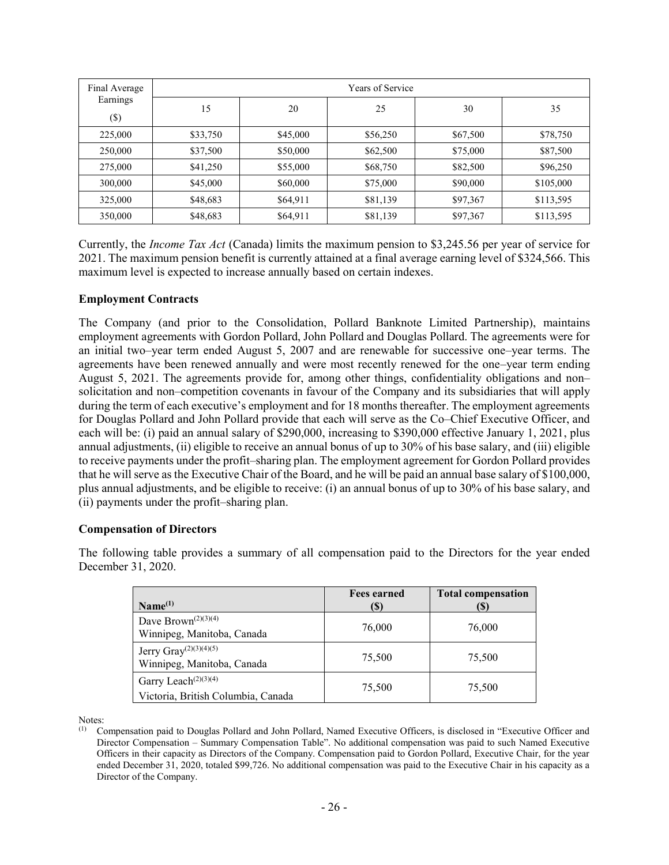| Final Average<br>Earnings<br>$(\$)$ | Years of Service |          |          |          |           |  |
|-------------------------------------|------------------|----------|----------|----------|-----------|--|
|                                     | 15               | 20       | 25       | 30       | 35        |  |
| 225,000                             | \$33,750         | \$45,000 | \$56,250 | \$67,500 | \$78,750  |  |
| 250,000                             | \$37,500         | \$50,000 | \$62,500 | \$75,000 | \$87,500  |  |
| 275,000                             | \$41,250         | \$55,000 | \$68,750 | \$82,500 | \$96,250  |  |
| 300,000                             | \$45,000         | \$60,000 | \$75,000 | \$90,000 | \$105,000 |  |
| 325,000                             | \$48,683         | \$64,911 | \$81,139 | \$97,367 | \$113,595 |  |
| 350,000                             | \$48,683         | \$64,911 | \$81,139 | \$97,367 | \$113,595 |  |

Currently, the *Income Tax Act* (Canada) limits the maximum pension to \$3,245.56 per year of service for 2021. The maximum pension benefit is currently attained at a final average earning level of \$324,566. This maximum level is expected to increase annually based on certain indexes.

### **Employment Contracts**

The Company (and prior to the Consolidation, Pollard Banknote Limited Partnership), maintains employment agreements with Gordon Pollard, John Pollard and Douglas Pollard. The agreements were for an initial two–year term ended August 5, 2007 and are renewable for successive one–year terms. The agreements have been renewed annually and were most recently renewed for the one–year term ending August 5, 2021. The agreements provide for, among other things, confidentiality obligations and non– solicitation and non–competition covenants in favour of the Company and its subsidiaries that will apply during the term of each executive's employment and for 18 months thereafter. The employment agreements for Douglas Pollard and John Pollard provide that each will serve as the Co–Chief Executive Officer, and each will be: (i) paid an annual salary of \$290,000, increasing to \$390,000 effective January 1, 2021, plus annual adjustments, (ii) eligible to receive an annual bonus of up to 30% of his base salary, and (iii) eligible to receive payments under the profit–sharing plan. The employment agreement for Gordon Pollard provides that he will serve as the Executive Chair of the Board, and he will be paid an annual base salary of \$100,000, plus annual adjustments, and be eligible to receive: (i) an annual bonus of up to 30% of his base salary, and (ii) payments under the profit–sharing plan.

#### **Compensation of Directors**

The following table provides a summary of all compensation paid to the Directors for the year ended December 31, 2020.

| Name <sup>(1)</sup>                                                                 | <b>Fees earned</b><br>(S) | <b>Total compensation</b><br>(S) |
|-------------------------------------------------------------------------------------|---------------------------|----------------------------------|
| Dave Brown <sup><math>(2)(3)(4)</math></sup><br>Winnipeg, Manitoba, Canada          | 76,000                    | 76,000                           |
| Jerry $\text{Gray}^{(2)(3)(4)(5)}$<br>Winnipeg, Manitoba, Canada                    | 75,500                    | 75,500                           |
| Garry Leach <sup><math>(2)(3)(4)</math></sup><br>Victoria, British Columbia, Canada | 75,500                    | 75,500                           |

Notes:<br>(1)  $C$ 

<sup>(1)</sup> Compensation paid to Douglas Pollard and John Pollard, Named Executive Officers, is disclosed in "Executive Officer and Director Compensation – Summary Compensation Table". No additional compensation was paid to such Named Executive Officers in their capacity as Directors of the Company. Compensation paid to Gordon Pollard, Executive Chair, for the year ended December 31, 2020, totaled \$99,726. No additional compensation was paid to the Executive Chair in his capacity as a Director of the Company.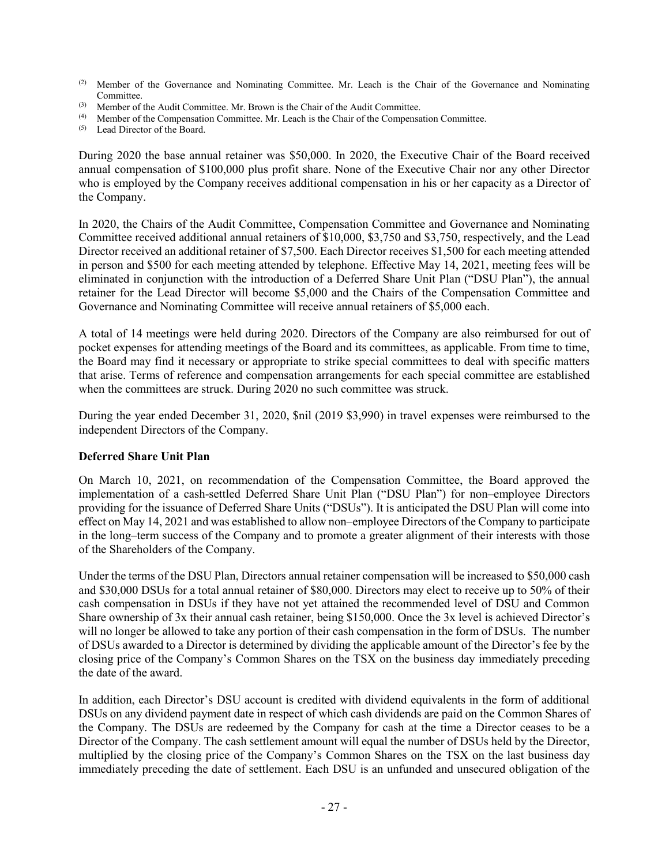- (2) Member of the Governance and Nominating Committee. Mr. Leach is the Chair of the Governance and Nominating Committee.
- (3) Member of the Audit Committee. Mr. Brown is the Chair of the Audit Committee.
- (4) Member of the Compensation Committee. Mr. Leach is the Chair of the Compensation Committee.
- (5) Lead Director of the Board.

During 2020 the base annual retainer was \$50,000. In 2020, the Executive Chair of the Board received annual compensation of \$100,000 plus profit share. None of the Executive Chair nor any other Director who is employed by the Company receives additional compensation in his or her capacity as a Director of the Company.

In 2020, the Chairs of the Audit Committee, Compensation Committee and Governance and Nominating Committee received additional annual retainers of \$10,000, \$3,750 and \$3,750, respectively, and the Lead Director received an additional retainer of \$7,500. Each Director receives \$1,500 for each meeting attended in person and \$500 for each meeting attended by telephone. Effective May 14, 2021, meeting fees will be eliminated in conjunction with the introduction of a Deferred Share Unit Plan ("DSU Plan"), the annual retainer for the Lead Director will become \$5,000 and the Chairs of the Compensation Committee and Governance and Nominating Committee will receive annual retainers of \$5,000 each.

A total of 14 meetings were held during 2020. Directors of the Company are also reimbursed for out of pocket expenses for attending meetings of the Board and its committees, as applicable. From time to time, the Board may find it necessary or appropriate to strike special committees to deal with specific matters that arise. Terms of reference and compensation arrangements for each special committee are established when the committees are struck. During 2020 no such committee was struck.

During the year ended December 31, 2020, \$nil (2019 \$3,990) in travel expenses were reimbursed to the independent Directors of the Company.

# **Deferred Share Unit Plan**

On March 10, 2021, on recommendation of the Compensation Committee, the Board approved the implementation of a cash-settled Deferred Share Unit Plan ("DSU Plan") for non–employee Directors providing for the issuance of Deferred Share Units ("DSUs"). It is anticipated the DSU Plan will come into effect on May 14, 2021 and was established to allow non–employee Directors of the Company to participate in the long–term success of the Company and to promote a greater alignment of their interests with those of the Shareholders of the Company.

Under the terms of the DSU Plan, Directors annual retainer compensation will be increased to \$50,000 cash and \$30,000 DSUs for a total annual retainer of \$80,000. Directors may elect to receive up to 50% of their cash compensation in DSUs if they have not yet attained the recommended level of DSU and Common Share ownership of 3x their annual cash retainer, being \$150,000. Once the 3x level is achieved Director's will no longer be allowed to take any portion of their cash compensation in the form of DSUs. The number of DSUs awarded to a Director is determined by dividing the applicable amount of the Director's fee by the closing price of the Company's Common Shares on the TSX on the business day immediately preceding the date of the award.

In addition, each Director's DSU account is credited with dividend equivalents in the form of additional DSUs on any dividend payment date in respect of which cash dividends are paid on the Common Shares of the Company. The DSUs are redeemed by the Company for cash at the time a Director ceases to be a Director of the Company. The cash settlement amount will equal the number of DSUs held by the Director, multiplied by the closing price of the Company's Common Shares on the TSX on the last business day immediately preceding the date of settlement. Each DSU is an unfunded and unsecured obligation of the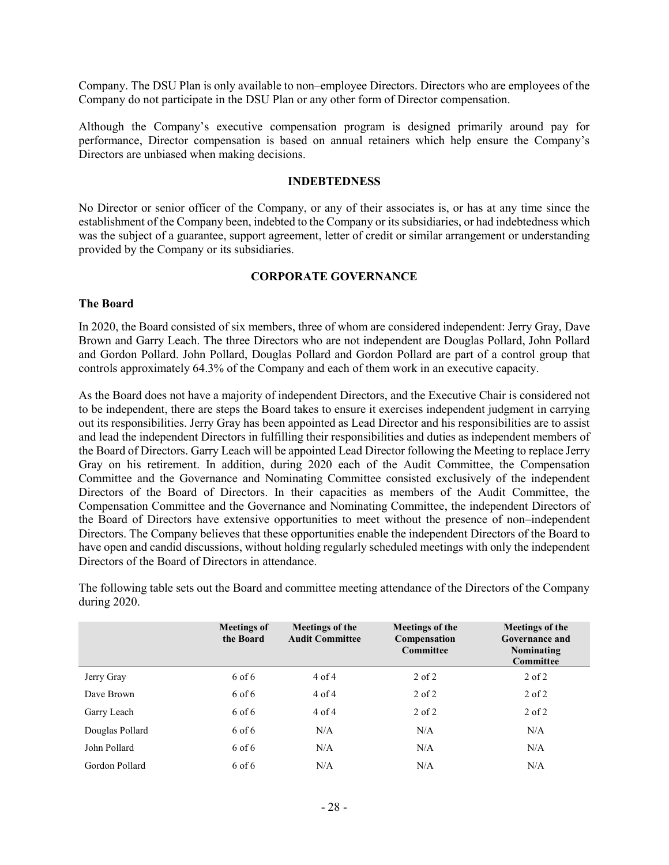Company. The DSU Plan is only available to non–employee Directors. Directors who are employees of the Company do not participate in the DSU Plan or any other form of Director compensation.

Although the Company's executive compensation program is designed primarily around pay for performance, Director compensation is based on annual retainers which help ensure the Company's Directors are unbiased when making decisions.

#### **INDEBTEDNESS**

No Director or senior officer of the Company, or any of their associates is, or has at any time since the establishment of the Company been, indebted to the Company or its subsidiaries, or had indebtedness which was the subject of a guarantee, support agreement, letter of credit or similar arrangement or understanding provided by the Company or its subsidiaries.

#### **CORPORATE GOVERNANCE**

#### **The Board**

In 2020, the Board consisted of six members, three of whom are considered independent: Jerry Gray, Dave Brown and Garry Leach. The three Directors who are not independent are Douglas Pollard, John Pollard and Gordon Pollard. John Pollard, Douglas Pollard and Gordon Pollard are part of a control group that controls approximately 64.3% of the Company and each of them work in an executive capacity.

As the Board does not have a majority of independent Directors, and the Executive Chair is considered not to be independent, there are steps the Board takes to ensure it exercises independent judgment in carrying out its responsibilities. Jerry Gray has been appointed as Lead Director and his responsibilities are to assist and lead the independent Directors in fulfilling their responsibilities and duties as independent members of the Board of Directors. Garry Leach will be appointed Lead Director following the Meeting to replace Jerry Gray on his retirement. In addition, during 2020 each of the Audit Committee, the Compensation Committee and the Governance and Nominating Committee consisted exclusively of the independent Directors of the Board of Directors. In their capacities as members of the Audit Committee, the Compensation Committee and the Governance and Nominating Committee, the independent Directors of the Board of Directors have extensive opportunities to meet without the presence of non–independent Directors. The Company believes that these opportunities enable the independent Directors of the Board to have open and candid discussions, without holding regularly scheduled meetings with only the independent Directors of the Board of Directors in attendance.

The following table sets out the Board and committee meeting attendance of the Directors of the Company during 2020.

|                 | <b>Meetings of</b><br>the Board | Meetings of the<br><b>Audit Committee</b> | Meetings of the<br>Compensation<br>Committee | Meetings of the<br>Governance and<br>Nominating<br>Committee |
|-----------------|---------------------------------|-------------------------------------------|----------------------------------------------|--------------------------------------------------------------|
| Jerry Gray      | 6 of 6                          | 4 of 4                                    | $2$ of $2$                                   | $2$ of $2$                                                   |
| Dave Brown      | 6 of 6                          | 4 of 4                                    | $2$ of $2$                                   | $2$ of $2$                                                   |
| Garry Leach     | 6 of 6                          | 4 of 4                                    | $2$ of $2$                                   | $2$ of $2$                                                   |
| Douglas Pollard | 6 of 6                          | N/A                                       | N/A                                          | N/A                                                          |
| John Pollard    | 6 of 6                          | N/A                                       | N/A                                          | N/A                                                          |
| Gordon Pollard  | 6 of 6                          | N/A                                       | N/A                                          | N/A                                                          |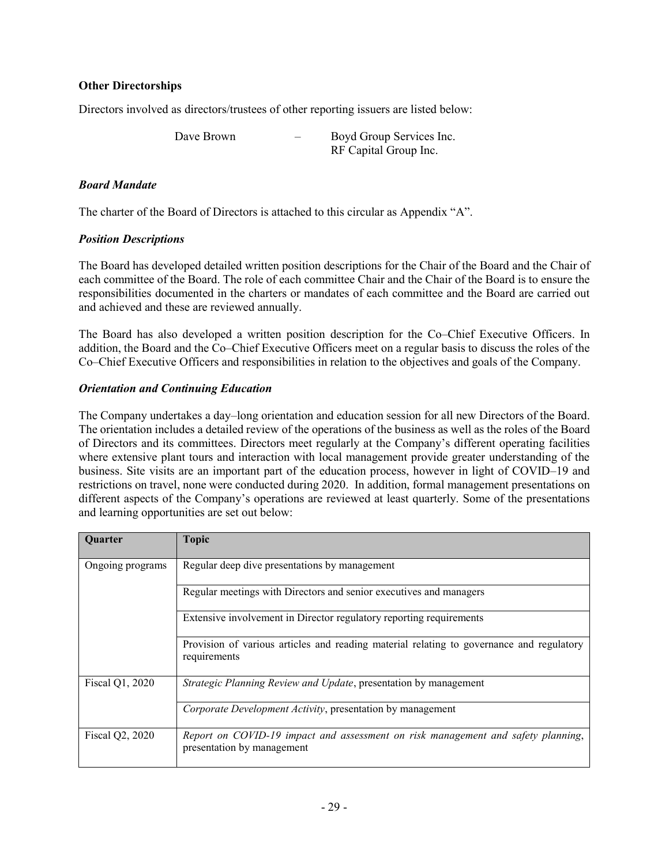### **Other Directorships**

Directors involved as directors/trustees of other reporting issuers are listed below:

Dave Brown – Boyd Group Services Inc.

RF Capital Group Inc.

### *Board Mandate*

The charter of the Board of Directors is attached to this circular as Appendix "A".

### *Position Descriptions*

The Board has developed detailed written position descriptions for the Chair of the Board and the Chair of each committee of the Board. The role of each committee Chair and the Chair of the Board is to ensure the responsibilities documented in the charters or mandates of each committee and the Board are carried out and achieved and these are reviewed annually.

The Board has also developed a written position description for the Co–Chief Executive Officers. In addition, the Board and the Co–Chief Executive Officers meet on a regular basis to discuss the roles of the Co–Chief Executive Officers and responsibilities in relation to the objectives and goals of the Company.

### *Orientation and Continuing Education*

The Company undertakes a day–long orientation and education session for all new Directors of the Board. The orientation includes a detailed review of the operations of the business as well as the roles of the Board of Directors and its committees. Directors meet regularly at the Company's different operating facilities where extensive plant tours and interaction with local management provide greater understanding of the business. Site visits are an important part of the education process, however in light of COVID–19 and restrictions on travel, none were conducted during 2020. In addition, formal management presentations on different aspects of the Company's operations are reviewed at least quarterly. Some of the presentations and learning opportunities are set out below:

| Quarter          | <b>Topic</b>                                                                                                   |
|------------------|----------------------------------------------------------------------------------------------------------------|
| Ongoing programs | Regular deep dive presentations by management                                                                  |
|                  | Regular meetings with Directors and senior executives and managers                                             |
|                  | Extensive involvement in Director regulatory reporting requirements                                            |
|                  | Provision of various articles and reading material relating to governance and regulatory<br>requirements       |
| Fiscal Q1, 2020  | <i>Strategic Planning Review and Update, presentation by management</i>                                        |
|                  | Corporate Development Activity, presentation by management                                                     |
| Fiscal Q2, 2020  | Report on COVID-19 impact and assessment on risk management and safety planning,<br>presentation by management |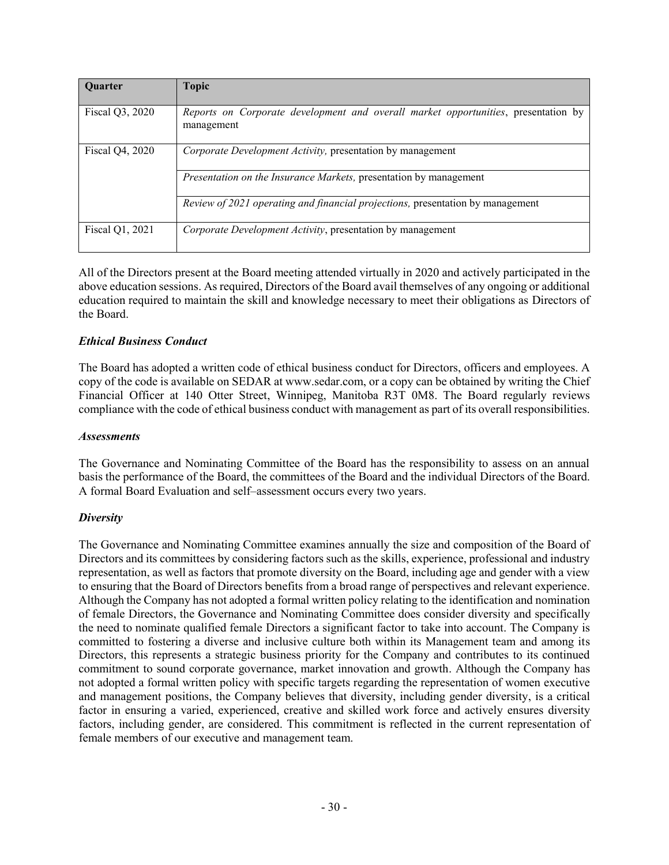| <b>Ouarter</b>  | <b>Topic</b>                                                                                     |
|-----------------|--------------------------------------------------------------------------------------------------|
| Fiscal Q3, 2020 | Reports on Corporate development and overall market opportunities, presentation by<br>management |
| Fiscal Q4, 2020 | Corporate Development Activity, presentation by management                                       |
|                 | Presentation on the Insurance Markets, presentation by management                                |
|                 | <i>Review of 2021 operating and financial projections, presentation by management</i>            |
| Fiscal Q1, 2021 | Corporate Development Activity, presentation by management                                       |

All of the Directors present at the Board meeting attended virtually in 2020 and actively participated in the above education sessions. As required, Directors of the Board avail themselves of any ongoing or additional education required to maintain the skill and knowledge necessary to meet their obligations as Directors of the Board.

# *Ethical Business Conduct*

The Board has adopted a written code of ethical business conduct for Directors, officers and employees. A copy of the code is available on SEDAR at www.sedar.com, or a copy can be obtained by writing the Chief Financial Officer at 140 Otter Street, Winnipeg, Manitoba R3T 0M8. The Board regularly reviews compliance with the code of ethical business conduct with management as part of its overall responsibilities.

### *Assessments*

The Governance and Nominating Committee of the Board has the responsibility to assess on an annual basis the performance of the Board, the committees of the Board and the individual Directors of the Board. A formal Board Evaluation and self–assessment occurs every two years.

### *Diversity*

The Governance and Nominating Committee examines annually the size and composition of the Board of Directors and its committees by considering factors such as the skills, experience, professional and industry representation, as well as factors that promote diversity on the Board, including age and gender with a view to ensuring that the Board of Directors benefits from a broad range of perspectives and relevant experience. Although the Company has not adopted a formal written policy relating to the identification and nomination of female Directors, the Governance and Nominating Committee does consider diversity and specifically the need to nominate qualified female Directors a significant factor to take into account. The Company is committed to fostering a diverse and inclusive culture both within its Management team and among its Directors, this represents a strategic business priority for the Company and contributes to its continued commitment to sound corporate governance, market innovation and growth. Although the Company has not adopted a formal written policy with specific targets regarding the representation of women executive and management positions, the Company believes that diversity, including gender diversity, is a critical factor in ensuring a varied, experienced, creative and skilled work force and actively ensures diversity factors, including gender, are considered. This commitment is reflected in the current representation of female members of our executive and management team.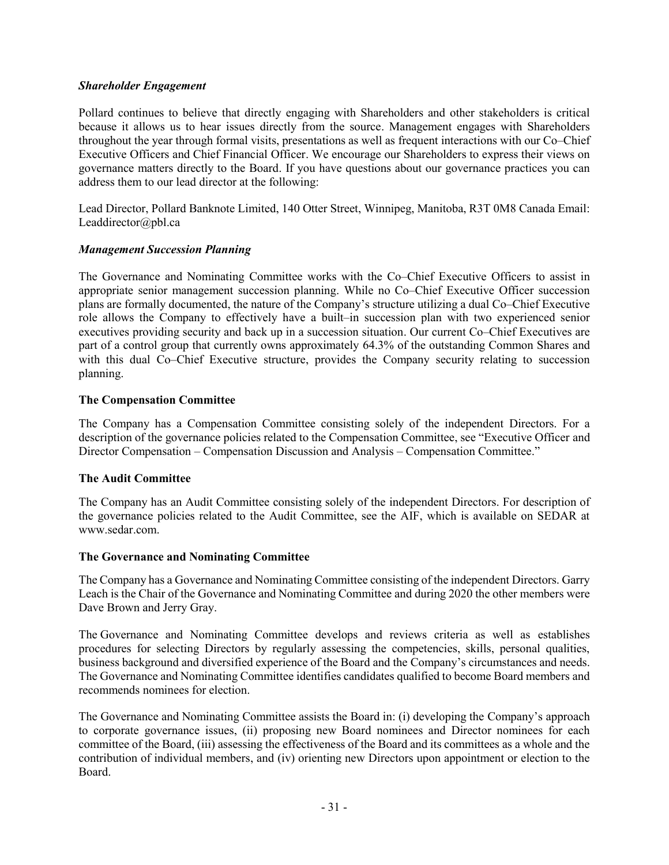### *Shareholder Engagement*

Pollard continues to believe that directly engaging with Shareholders and other stakeholders is critical because it allows us to hear issues directly from the source. Management engages with Shareholders throughout the year through formal visits, presentations as well as frequent interactions with our Co–Chief Executive Officers and Chief Financial Officer. We encourage our Shareholders to express their views on governance matters directly to the Board. If you have questions about our governance practices you can address them to our lead director at the following:

Lead Director, Pollard Banknote Limited, 140 Otter Street, Winnipeg, Manitoba, R3T 0M8 Canada Email: Leaddirector@pbl.ca

### *Management Succession Planning*

The Governance and Nominating Committee works with the Co–Chief Executive Officers to assist in appropriate senior management succession planning. While no Co–Chief Executive Officer succession plans are formally documented, the nature of the Company's structure utilizing a dual Co–Chief Executive role allows the Company to effectively have a built–in succession plan with two experienced senior executives providing security and back up in a succession situation. Our current Co–Chief Executives are part of a control group that currently owns approximately 64.3% of the outstanding Common Shares and with this dual Co–Chief Executive structure, provides the Company security relating to succession planning.

### **The Compensation Committee**

The Company has a Compensation Committee consisting solely of the independent Directors. For a description of the governance policies related to the Compensation Committee, see "Executive Officer and Director Compensation – Compensation Discussion and Analysis – Compensation Committee."

### **The Audit Committee**

The Company has an Audit Committee consisting solely of the independent Directors. For description of the governance policies related to the Audit Committee, see the AIF, which is available on SEDAR at www.sedar.com.

### **The Governance and Nominating Committee**

The Company has a Governance and Nominating Committee consisting of the independent Directors. Garry Leach is the Chair of the Governance and Nominating Committee and during 2020 the other members were Dave Brown and Jerry Gray.

The Governance and Nominating Committee develops and reviews criteria as well as establishes procedures for selecting Directors by regularly assessing the competencies, skills, personal qualities, business background and diversified experience of the Board and the Company's circumstances and needs. The Governance and Nominating Committee identifies candidates qualified to become Board members and recommends nominees for election.

The Governance and Nominating Committee assists the Board in: (i) developing the Company's approach to corporate governance issues, (ii) proposing new Board nominees and Director nominees for each committee of the Board, (iii) assessing the effectiveness of the Board and its committees as a whole and the contribution of individual members, and (iv) orienting new Directors upon appointment or election to the Board.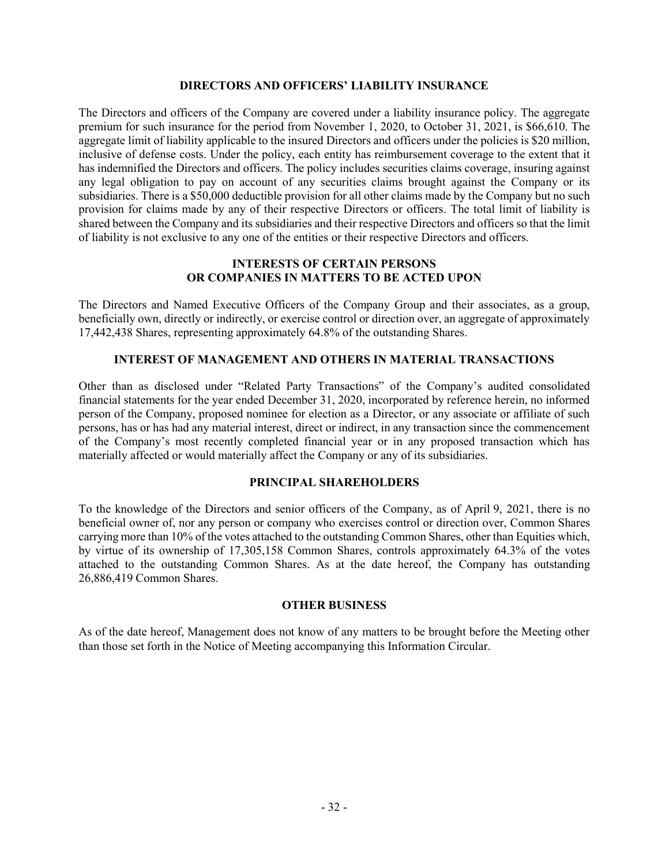#### **DIRECTORS AND OFFICERS' LIABILITY INSURANCE**

The Directors and officers of the Company are covered under a liability insurance policy. The aggregate premium for such insurance for the period from November 1, 2020, to October 31, 2021, is \$66,610. The aggregate limit of liability applicable to the insured Directors and officers under the policies is \$20 million, inclusive of defense costs. Under the policy, each entity has reimbursement coverage to the extent that it has indemnified the Directors and officers. The policy includes securities claims coverage, insuring against any legal obligation to pay on account of any securities claims brought against the Company or its subsidiaries. There is a \$50,000 deductible provision for all other claims made by the Company but no such provision for claims made by any of their respective Directors or officers. The total limit of liability is shared between the Company and its subsidiaries and their respective Directors and officers so that the limit of liability is not exclusive to any one of the entities or their respective Directors and officers.

### **INTERESTS OF CERTAIN PERSONS OR COMPANIES IN MATTERS TO BE ACTED UPON**

The Directors and Named Executive Officers of the Company Group and their associates, as a group, beneficially own, directly or indirectly, or exercise control or direction over, an aggregate of approximately 17,442,438 Shares, representing approximately 64.8% of the outstanding Shares.

### **INTEREST OF MANAGEMENT AND OTHERS IN MATERIAL TRANSACTIONS**

Other than as disclosed under "Related Party Transactions" of the Company's audited consolidated financial statements for the year ended December 31, 2020, incorporated by reference herein, no informed person of the Company, proposed nominee for election as a Director, or any associate or affiliate of such persons, has or has had any material interest, direct or indirect, in any transaction since the commencement of the Company's most recently completed financial year or in any proposed transaction which has materially affected or would materially affect the Company or any of its subsidiaries.

### **PRINCIPAL SHAREHOLDERS**

To the knowledge of the Directors and senior officers of the Company, as of April 9, 2021, there is no beneficial owner of, nor any person or company who exercises control or direction over, Common Shares carrying more than 10% of the votes attached to the outstanding Common Shares, other than Equities which, by virtue of its ownership of 17,305,158 Common Shares, controls approximately 64.3% of the votes attached to the outstanding Common Shares. As at the date hereof, the Company has outstanding 26,886,419 Common Shares.

#### **OTHER BUSINESS**

As of the date hereof, Management does not know of any matters to be brought before the Meeting other than those set forth in the Notice of Meeting accompanying this Information Circular.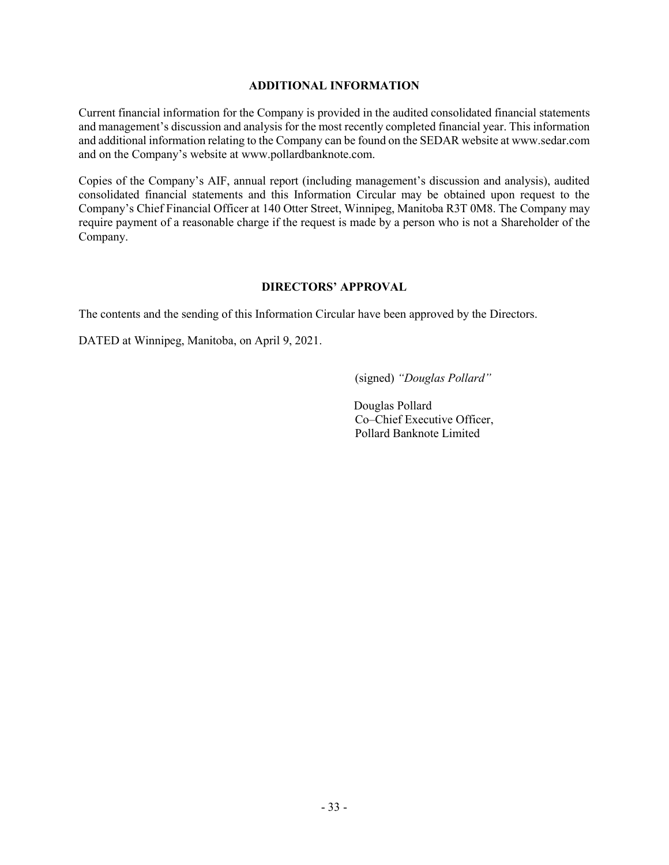#### **ADDITIONAL INFORMATION**

Current financial information for the Company is provided in the audited consolidated financial statements and management's discussion and analysis for the most recently completed financial year. This information and additional information relating to the Company can be found on the SEDAR website at www.sedar.com and on the Company's website at www.pollardbanknote.com.

Copies of the Company's AIF, annual report (including management's discussion and analysis), audited consolidated financial statements and this Information Circular may be obtained upon request to the Company's Chief Financial Officer at 140 Otter Street, Winnipeg, Manitoba R3T 0M8. The Company may require payment of a reasonable charge if the request is made by a person who is not a Shareholder of the Company.

#### **DIRECTORS' APPROVAL**

The contents and the sending of this Information Circular have been approved by the Directors.

DATED at Winnipeg, Manitoba, on April 9, 2021.

(signed) *"Douglas Pollard"*

Douglas Pollard Co–Chief Executive Officer, Pollard Banknote Limited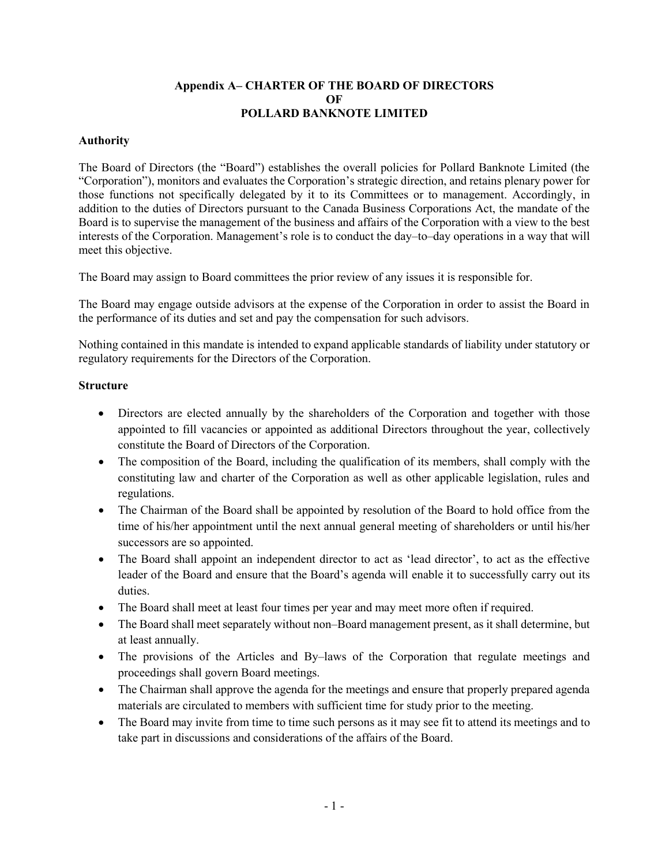### **Appendix A– CHARTER OF THE BOARD OF DIRECTORS OF POLLARD BANKNOTE LIMITED**

### **Authority**

The Board of Directors (the "Board") establishes the overall policies for Pollard Banknote Limited (the "Corporation"), monitors and evaluates the Corporation's strategic direction, and retains plenary power for those functions not specifically delegated by it to its Committees or to management. Accordingly, in addition to the duties of Directors pursuant to the Canada Business Corporations Act, the mandate of the Board is to supervise the management of the business and affairs of the Corporation with a view to the best interests of the Corporation. Management's role is to conduct the day–to–day operations in a way that will meet this objective.

The Board may assign to Board committees the prior review of any issues it is responsible for.

The Board may engage outside advisors at the expense of the Corporation in order to assist the Board in the performance of its duties and set and pay the compensation for such advisors.

Nothing contained in this mandate is intended to expand applicable standards of liability under statutory or regulatory requirements for the Directors of the Corporation.

### **Structure**

- Directors are elected annually by the shareholders of the Corporation and together with those appointed to fill vacancies or appointed as additional Directors throughout the year, collectively constitute the Board of Directors of the Corporation.
- The composition of the Board, including the qualification of its members, shall comply with the constituting law and charter of the Corporation as well as other applicable legislation, rules and regulations.
- The Chairman of the Board shall be appointed by resolution of the Board to hold office from the time of his/her appointment until the next annual general meeting of shareholders or until his/her successors are so appointed.
- The Board shall appoint an independent director to act as 'lead director', to act as the effective leader of the Board and ensure that the Board's agenda will enable it to successfully carry out its duties.
- The Board shall meet at least four times per year and may meet more often if required.
- The Board shall meet separately without non–Board management present, as it shall determine, but at least annually.
- The provisions of the Articles and By–laws of the Corporation that regulate meetings and proceedings shall govern Board meetings.
- The Chairman shall approve the agenda for the meetings and ensure that properly prepared agenda materials are circulated to members with sufficient time for study prior to the meeting.
- The Board may invite from time to time such persons as it may see fit to attend its meetings and to take part in discussions and considerations of the affairs of the Board.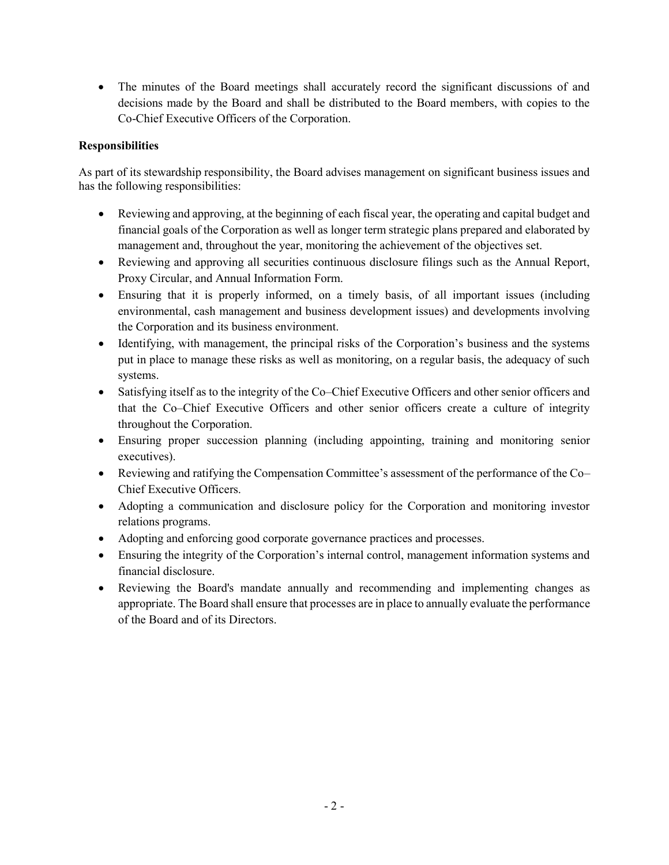• The minutes of the Board meetings shall accurately record the significant discussions of and decisions made by the Board and shall be distributed to the Board members, with copies to the Co-Chief Executive Officers of the Corporation.

# **Responsibilities**

As part of its stewardship responsibility, the Board advises management on significant business issues and has the following responsibilities:

- Reviewing and approving, at the beginning of each fiscal year, the operating and capital budget and financial goals of the Corporation as well as longer term strategic plans prepared and elaborated by management and, throughout the year, monitoring the achievement of the objectives set.
- Reviewing and approving all securities continuous disclosure filings such as the Annual Report, Proxy Circular, and Annual Information Form.
- Ensuring that it is properly informed, on a timely basis, of all important issues (including environmental, cash management and business development issues) and developments involving the Corporation and its business environment.
- Identifying, with management, the principal risks of the Corporation's business and the systems put in place to manage these risks as well as monitoring, on a regular basis, the adequacy of such systems.
- Satisfying itself as to the integrity of the Co–Chief Executive Officers and other senior officers and that the Co–Chief Executive Officers and other senior officers create a culture of integrity throughout the Corporation.
- Ensuring proper succession planning (including appointing, training and monitoring senior executives).
- Reviewing and ratifying the Compensation Committee's assessment of the performance of the Co– Chief Executive Officers.
- Adopting a communication and disclosure policy for the Corporation and monitoring investor relations programs.
- Adopting and enforcing good corporate governance practices and processes.
- Ensuring the integrity of the Corporation's internal control, management information systems and financial disclosure.
- Reviewing the Board's mandate annually and recommending and implementing changes as appropriate. The Board shall ensure that processes are in place to annually evaluate the performance of the Board and of its Directors.